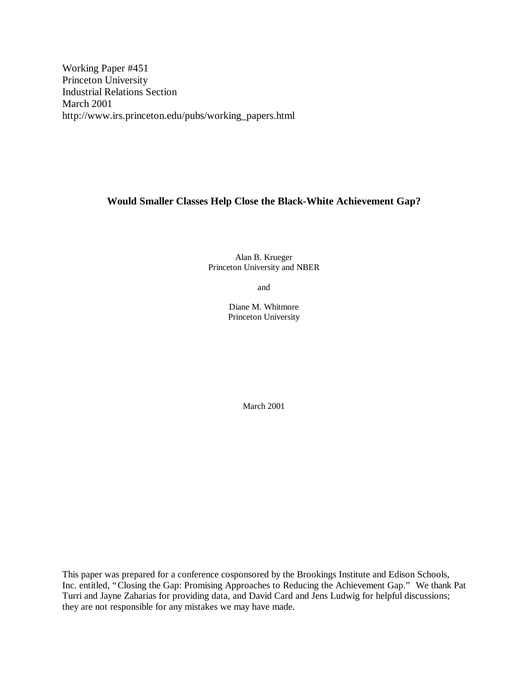Working Paper #451 Princeton University Industrial Relations Section March 2001 http://www.irs.princeton.edu/pubs/working\_papers.html

# **Would Smaller Classes Help Close the Black-White Achievement Gap?**

Alan B. Krueger Princeton University and NBER

and

Diane M. Whitmore Princeton University

March 2001

This paper was prepared for a conference cosponsored by the Brookings Institute and Edison Schools, Inc. entitled, "Closing the Gap: Promising Approaches to Reducing the Achievement Gap." We thank Pat Turri and Jayne Zaharias for providing data, and David Card and Jens Ludwig for helpful discussions; they are not responsible for any mistakes we may have made.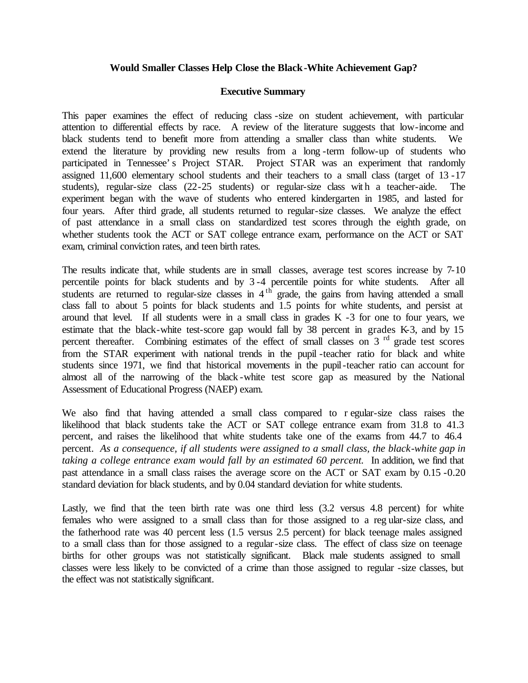# **Would Smaller Classes Help Close the Black-White Achievement Gap?**

# **Executive Summary**

This paper examines the effect of reducing class -size on student achievement, with particular attention to differential effects by race. A review of the literature suggests that low-income and black students tend to benefit more from attending a smaller class than white students. We extend the literature by providing new results from a long -term follow-up of students who participated in Tennessee's Project STAR. Project STAR was an experiment that randomly assigned 11,600 elementary school students and their teachers to a small class (target of 13 -17 students), regular-size class (22-25 students) or regular-size class wit h a teacher-aide. The experiment began with the wave of students who entered kindergarten in 1985, and lasted for four years. After third grade, all students returned to regular-size classes. We analyze the effect of past attendance in a small class on standardized test scores through the eighth grade, on whether students took the ACT or SAT college entrance exam, performance on the ACT or SAT exam, criminal conviction rates, and teen birth rates.

The results indicate that, while students are in small classes, average test scores increase by 7-10 percentile points for black students and by 3 -4 percentile points for white students. After all students are returned to regular-size classes in  $4<sup>th</sup>$  grade, the gains from having attended a small class fall to about 5 points for black students and 1.5 points for white students, and persist at around that level. If all students were in a small class in grades K -3 for one to four years, we estimate that the black-white test-score gap would fall by 38 percent in grades K-3, and by 15 percent thereafter. Combining estimates of the effect of small classes on 3<sup>rd</sup> grade test scores from the STAR experiment with national trends in the pupil -teacher ratio for black and white students since 1971, we find that historical movements in the pupil-teacher ratio can account for almost all of the narrowing of the black -white test score gap as measured by the National Assessment of Educational Progress (NAEP) exam.

We also find that having attended a small class compared to r egular-size class raises the likelihood that black students take the ACT or SAT college entrance exam from 31.8 to 41.3 percent, and raises the likelihood that white students take one of the exams from 44.7 to 46.4 percent. *As a consequence, if all students were assigned to a small class, the black-white gap in taking a college entrance exam would fall by an estimated 60 percent.* In addition, we find that past attendance in a small class raises the average score on the ACT or SAT exam by 0.15 -0.20 standard deviation for black students, and by 0.04 standard deviation for white students.

Lastly, we find that the teen birth rate was one third less (3.2 versus 4.8 percent) for white females who were assigned to a small class than for those assigned to a reg ular-size class, and the fatherhood rate was 40 percent less (1.5 versus 2.5 percent) for black teenage males assigned to a small class than for those assigned to a regular-size class. The effect of class size on teenage births for other groups was not statistically significant. Black male students assigned to small classes were less likely to be convicted of a crime than those assigned to regular -size classes, but the effect was not statistically significant.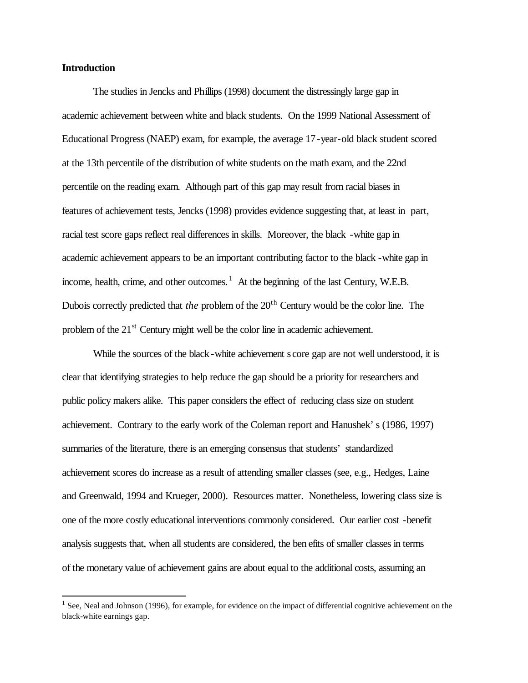# **Introduction**

 $\overline{a}$ 

The studies in Jencks and Phillips (1998) document the distressingly large gap in academic achievement between white and black students. On the 1999 National Assessment of Educational Progress (NAEP) exam, for example, the average 17-year-old black student scored at the 13th percentile of the distribution of white students on the math exam, and the 22nd percentile on the reading exam. Although part of this gap may result from racial biases in features of achievement tests, Jencks (1998) provides evidence suggesting that, at least in part, racial test score gaps reflect real differences in skills. Moreover, the black -white gap in academic achievement appears to be an important contributing factor to the black -white gap in income, health, crime, and other outcomes.  $<sup>1</sup>$  At the beginning of the last Century, W.E.B.</sup> Dubois correctly predicted that *the* problem of the 20<sup>th</sup> Century would be the color line. The problem of the  $21<sup>st</sup>$  Century might well be the color line in academic achievement.

While the sources of the black -white achievement s core gap are not well understood, it is clear that identifying strategies to help reduce the gap should be a priority for researchers and public policy makers alike. This paper considers the effect of reducing class size on student achievement. Contrary to the early work of the Coleman report and Hanushek's (1986, 1997) summaries of the literature, there is an emerging consensus that students' standardized achievement scores do increase as a result of attending smaller classes (see, e.g., Hedges, Laine and Greenwald, 1994 and Krueger, 2000). Resources matter. Nonetheless, lowering class size is one of the more costly educational interventions commonly considered. Our earlier cost -benefit analysis suggests that, when all students are considered, the ben efits of smaller classes in terms of the monetary value of achievement gains are about equal to the additional costs, assuming an

 $<sup>1</sup>$  See, Neal and Johnson (1996), for example, for evidence on the impact of differential cognitive achievement on the</sup> black-white earnings gap.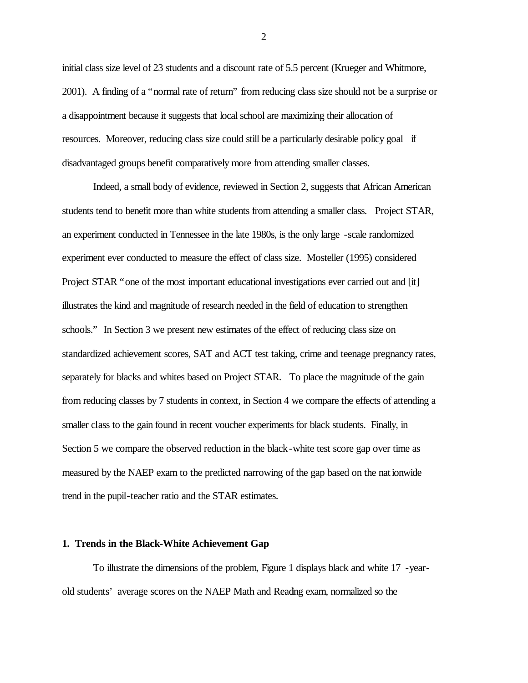initial class size level of 23 students and a discount rate of 5.5 percent (Krueger and Whitmore, 2001). A finding of a "normal rate of return" from reducing class size should not be a surprise or a disappointment because it suggests that local school are maximizing their allocation of resources. Moreover, reducing class size could still be a particularly desirable policy goal if disadvantaged groups benefit comparatively more from attending smaller classes.

Indeed, a small body of evidence, reviewed in Section 2, suggests that African American students tend to benefit more than white students from attending a smaller class. Project STAR, an experiment conducted in Tennessee in the late 1980s, is the only large -scale randomized experiment ever conducted to measure the effect of class size. Mosteller (1995) considered Project STAR "one of the most important educational investigations ever carried out and [it] illustrates the kind and magnitude of research needed in the field of education to strengthen schools." In Section 3 we present new estimates of the effect of reducing class size on standardized achievement scores, SAT and ACT test taking, crime and teenage pregnancy rates, separately for blacks and whites based on Project STAR. To place the magnitude of the gain from reducing classes by 7 students in context, in Section 4 we compare the effects of attending a smaller class to the gain found in recent voucher experiments for black students. Finally, in Section 5 we compare the observed reduction in the black-white test score gap over time as measured by the NAEP exam to the predicted narrowing of the gap based on the nationwide trend in the pupil-teacher ratio and the STAR estimates.

#### **1. Trends in the Black-White Achievement Gap**

To illustrate the dimensions of the problem, Figure 1 displays black and white 17 -yearold students' average scores on the NAEP Math and Reading exam, normalized so the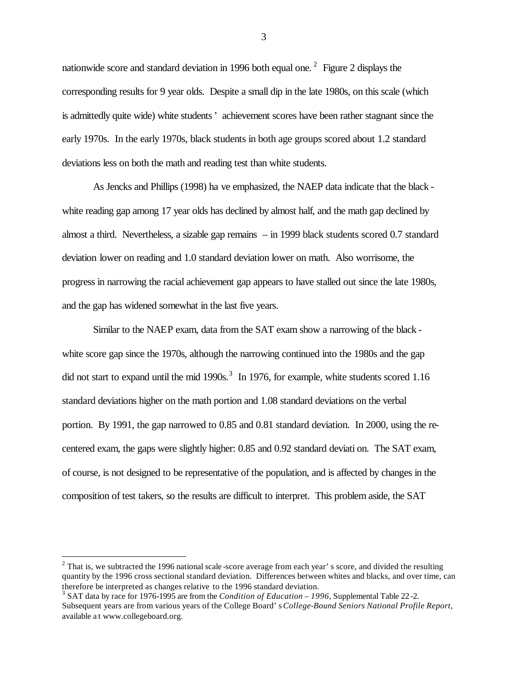nationwide score and standard deviation in 1996 both equal one.<sup>2</sup> Figure 2 displays the corresponding results for 9 year olds. Despite a small dip in the late 1980s, on this scale (which is admittedly quite wide) white students ' achievement scores have been rather stagnant since the early 1970s. In the early 1970s, black students in both age groups scored about 1.2 standard deviations less on both the math and reading test than white students.

As Jencks and Phillips (1998) ha ve emphasized, the NAEP data indicate that the black white reading gap among 17 year olds has declined by almost half, and the math gap declined by almost a third. Nevertheless, a sizable gap remains – in 1999 black students scored 0.7 standard deviation lower on reading and 1.0 standard deviation lower on math. Also worrisome, the progress in narrowing the racial achievement gap appears to have stalled out since the late 1980s, and the gap has widened somewhat in the last five years.

Similar to the NAEP exam, data from the SAT exam show a narrowing of the black white score gap since the 1970s, although the narrowing continued into the 1980s and the gap did not start to expand until the mid  $1990s$ .<sup>3</sup> In 1976, for example, white students scored 1.16 standard deviations higher on the math portion and 1.08 standard deviations on the verbal portion. By 1991, the gap narrowed to 0.85 and 0.81 standard deviation. In 2000, using the recentered exam, the gaps were slightly higher: 0.85 and 0.92 standard deviati on. The SAT exam, of course, is not designed to be representative of the population, and is affected by changes in the composition of test takers, so the results are difficult to interpret. This problem aside, the SAT

 $\overline{a}$ 

 $2$  That is, we subtracted the 1996 national scale-score average from each year's score, and divided the resulting quantity by the 1996 cross sectional standard deviation. Differences between whites and blacks, and over time, can therefore be interpreted as changes relative to the 1996 standard deviation.

<sup>3</sup> SAT data by race for 1976-1995 are from the *Condition of Education – 1996*, Supplemental Table 22 -2. Subsequent years are from various years of the College Board's *College-Bound Seniors National Profile Report*, available a t www.collegeboard.org.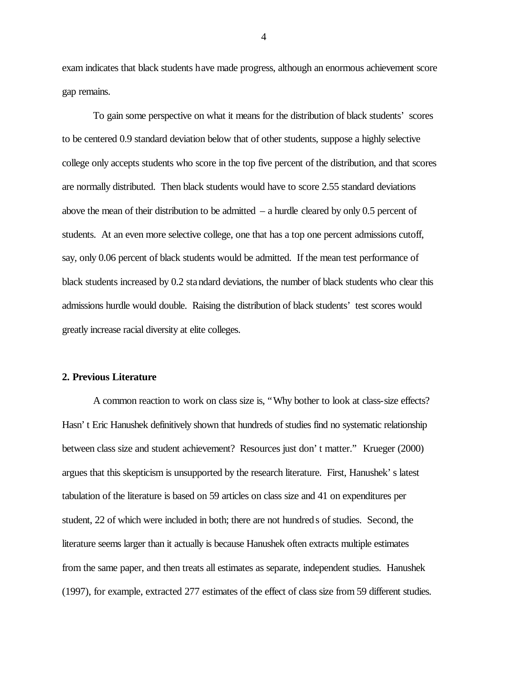exam indicates that black students have made progress, although an enormous achievement score gap remains.

To gain some perspective on what it means for the distribution of black students' scores to be centered 0.9 standard deviation below that of other students, suppose a highly selective college only accepts students who score in the top five percent of the distribution, and that scores are normally distributed. Then black students would have to score 2.55 standard deviations above the mean of their distribution to be admitted  $-$  a hurdle cleared by only 0.5 percent of students. At an even more selective college, one that has a top one percent admissions cutoff, say, only 0.06 percent of black students would be admitted. If the mean test performance of black students increased by 0.2 standard deviations, the number of black students who clear this admissions hurdle would double. Raising the distribution of black students' test scores would greatly increase racial diversity at elite colleges.

#### **2. Previous Literature**

A common reaction to work on class size is, "Why bother to look at class-size effects? Hasn't Eric Hanushek definitively shown that hundreds of studies find no systematic relationship between class size and student achievement? Resources just don't matter." Krueger (2000) argues that this skepticism is unsupported by the research literature. First, Hanushek's latest tabulation of the literature is based on 59 articles on class size and 41 on expenditures per student, 22 of which were included in both; there are not hundred s of studies. Second, the literature seems larger than it actually is because Hanushek often extracts multiple estimates from the same paper, and then treats all estimates as separate, independent studies. Hanushek (1997), for example, extracted 277 estimates of the effect of class size from 59 different studies.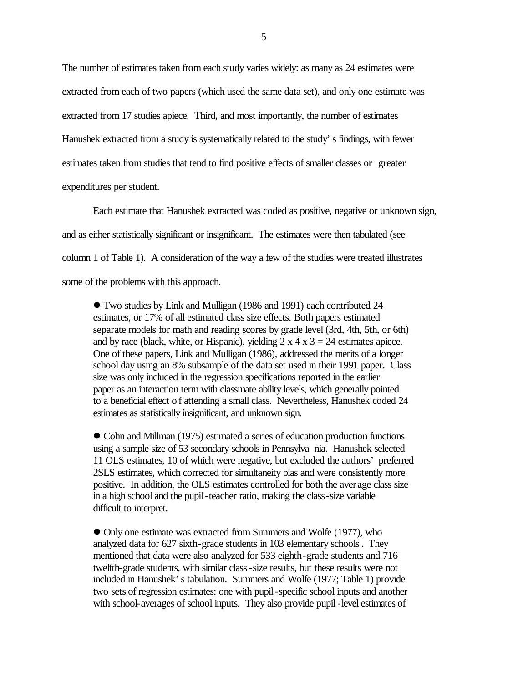The number of estimates taken from each study varies widely: as many as 24 estimates were extracted from each of two papers (which used the same data set), and only one estimate was extracted from 17 studies apiece. Third, and most importantly, the number of estimates Hanushek extracted from a study is systematically related to the study's findings, with fewer estimates taken from studies that tend to find positive effects of smaller classes or greater expenditures per student.

Each estimate that Hanushek extracted was coded as positive, negative or unknown sign, and as either statistically significant or insignificant. The estimates were then tabulated (see column 1 of Table 1). A consideration of the way a few of the studies were treated illustrates some of the problems with this approach.

l Two studies by Link and Mulligan (1986 and 1991) each contributed 24 estimates, or 17% of all estimated class size effects. Both papers estimated separate models for math and reading scores by grade level (3rd, 4th, 5th, or 6th) and by race (black, white, or Hispanic), yielding  $2 \times 4 \times 3 = 24$  estimates apiece. One of these papers, Link and Mulligan (1986), addressed the merits of a longer school day using an 8% subsample of the data set used in their 1991 paper. Class size was only included in the regression specifications reported in the earlier paper as an interaction term with classmate ability levels, which generally pointed to a beneficial effect of attending a small class. Nevertheless, Hanushek coded 24 estimates as statistically insignificant, and unknown sign.

l Cohn and Millman (1975) estimated a series of education production functions using a sample size of 53 secondary schools in Pennsylva nia. Hanushek selected 11 OLS estimates, 10 of which were negative, but excluded the authors' preferred 2SLS estimates, which corrected for simultaneity bias and were consistently more positive. In addition, the OLS estimates controlled for both the aver age class size in a high school and the pupil -teacher ratio, making the class-size variable difficult to interpret.

• Only one estimate was extracted from Summers and Wolfe (1977), who analyzed data for 627 sixth-grade students in 103 elementary schools . They mentioned that data were also analyzed for 533 eighth-grade students and 716 twelfth-grade students, with similar class-size results, but these results were not included in Hanushek's tabulation. Summers and Wolfe (1977; Table 1) provide two sets of regression estimates: one with pupil-specific school inputs and another with school-averages of school inputs. They also provide pupil -level estimates of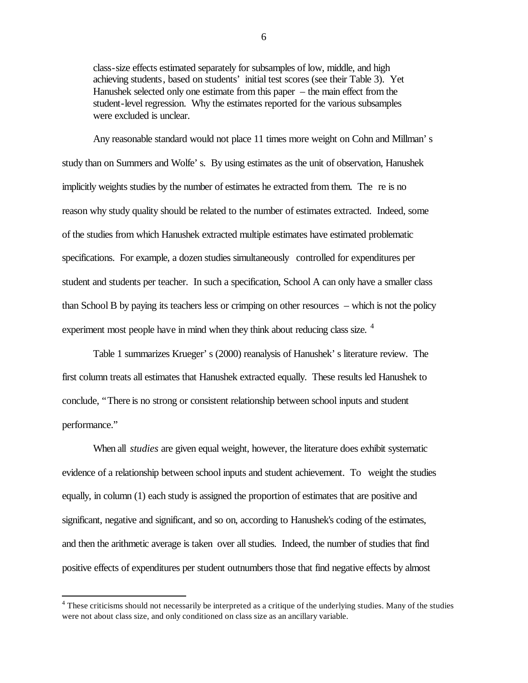class-size effects estimated separately for subsamples of low, middle, and high achieving students, based on students' initial test scores (see their Table 3). Yet Hanushek selected only one estimate from this paper – the main effect from the student-level regression. Why the estimates reported for the various subsamples were excluded is unclear.

Any reasonable standard would not place 11 times more weight on Cohn and Millman's study than on Summers and Wolfe's. By using estimates as the unit of observation, Hanushek implicitly weights studies by the number of estimates he extracted from them. The re is no reason why study quality should be related to the number of estimates extracted. Indeed, some of the studies from which Hanushek extracted multiple estimates have estimated problematic specifications. For example, a dozen studies simultaneously controlled for expenditures per student and students per teacher. In such a specification, School A can only have a smaller class than School B by paying its teachers less or crimping on other resources – which is not the policy experiment most people have in mind when they think about reducing class size.<sup>4</sup>

Table 1 summarizes Krueger's (2000) reanalysis of Hanushek's literature review. The first column treats all estimates that Hanushek extracted equally. These results led Hanushek to conclude, "There is no strong or consistent relationship between school inputs and student performance."

When all *studies* are given equal weight, however, the literature does exhibit systematic evidence of a relationship between school inputs and student achievement. To weight the studies equally, in column (1) each study is assigned the proportion of estimates that are positive and significant, negative and significant, and so on, according to Hanushek's coding of the estimates, and then the arithmetic average is taken over all studies. Indeed, the number of studies that find positive effects of expenditures per student outnumbers those that find negative effects by almost

 $4$  These criticisms should not necessarily be interpreted as a critique of the underlying studies. Many of the studies were not about class size, and only conditioned on class size as an ancillary variable.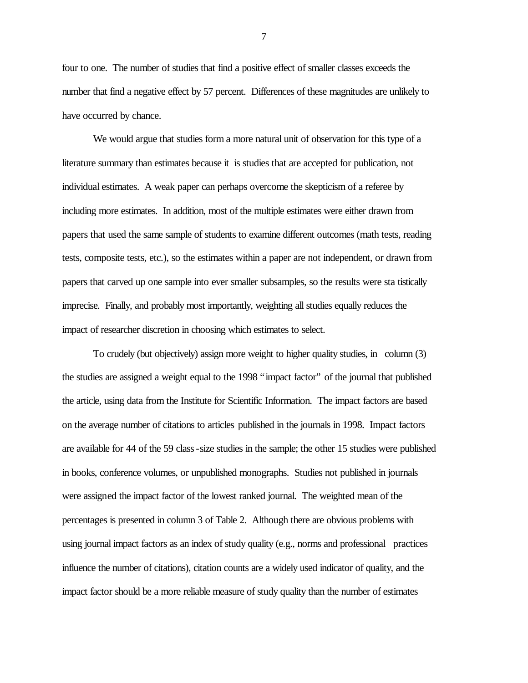four to one. The number of studies that find a positive effect of smaller classes exceeds the number that find a negative effect by 57 percent. Differences of these magnitudes are unlikely to have occurred by chance.

We would argue that studies form a more natural unit of observation for this type of a literature summary than estimates because it is studies that are accepted for publication, not individual estimates. A weak paper can perhaps overcome the skepticism of a referee by including more estimates. In addition, most of the multiple estimates were either drawn from papers that used the same sample of students to examine different outcomes (math tests, reading tests, composite tests, etc.), so the estimates within a paper are not independent, or drawn from papers that carved up one sample into ever smaller subsamples, so the results were sta tistically imprecise. Finally, and probably most importantly, weighting all studies equally reduces the impact of researcher discretion in choosing which estimates to select.

To crudely (but objectively) assign more weight to higher quality studies, in column (3) the studies are assigned a weight equal to the 1998 "impact factor" of the journal that published the article, using data from the Institute for Scientific Information. The impact factors are based on the average number of citations to articles published in the journals in 1998. Impact factors are available for 44 of the 59 class-size studies in the sample; the other 15 studies were published in books, conference volumes, or unpublished monographs. Studies not published in journals were assigned the impact factor of the lowest ranked journal. The weighted mean of the percentages is presented in column 3 of Table 2. Although there are obvious problems with using journal impact factors as an index of study quality (e.g., norms and professional practices influence the number of citations), citation counts are a widely used indicator of quality, and the impact factor should be a more reliable measure of study quality than the number of estimates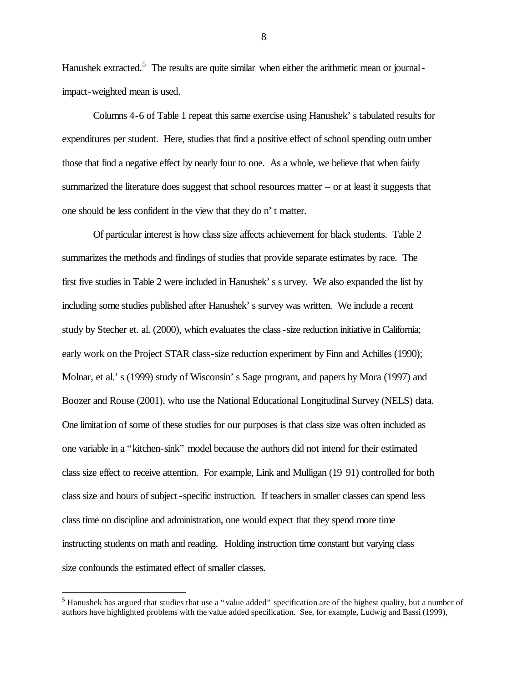Hanushek extracted.<sup>5</sup> The results are quite similar when either the arithmetic mean or journalimpact-weighted mean is used.

Columns 4-6 of Table 1 repeat this same exercise using Hanushek's tabulated results for expenditures per student. Here, studies that find a positive effect of school spending outn umber those that find a negative effect by nearly four to one. As a whole, we believe that when fairly summarized the literature does suggest that school resources matter – or at least it suggests that one should be less confident in the view that they do n't matter.

Of particular interest is how class size affects achievement for black students. Table 2 summarizes the methods and findings of studies that provide separate estimates by race. The first five studies in Table 2 were included in Hanushek's s urvey. We also expanded the list by including some studies published after Hanushek's survey was written. We include a recent study by Stecher et. al. (2000), which evaluates the class-size reduction initiative in California; early work on the Project STAR class-size reduction experiment by Finn and Achilles (1990); Molnar, et al.'s (1999) study of Wisconsin's Sage program, and papers by Mora (1997) and Boozer and Rouse (2001), who use the National Educational Longitudinal Survey (NELS) data. One limitation of some of these studies for our purposes is that class size was often included as one variable in a "kitchen-sink" model because the authors did not intend for their estimated class size effect to receive attention. For example, Link and Mulligan (19 91) controlled for both class size and hours of subject-specific instruction. If teachers in smaller classes can spend less class time on discipline and administration, one would expect that they spend more time instructing students on math and reading. Holding instruction time constant but varying class size confounds the estimated effect of smaller classes.

 $\overline{a}$ 

 $<sup>5</sup>$  Hanushek has argued that studies that use a "value added" specification are of the highest quality, but a number of</sup> authors have highlighted problems with the value added specification. See, for example, Ludwig and Bassi (1999),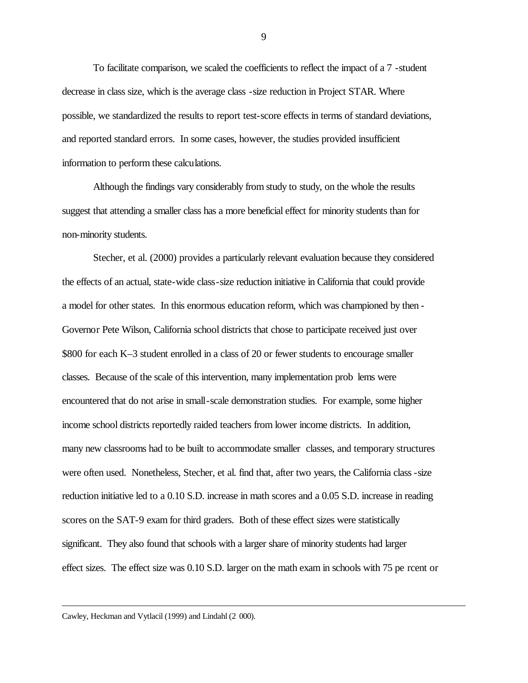To facilitate comparison, we scaled the coefficients to reflect the impact of a 7 -student decrease in class size, which is the average class -size reduction in Project STAR. Where possible, we standardized the results to report test-score effects in terms of standard deviations, and reported standard errors. In some cases, however, the studies provided insufficient information to perform these calculations.

Although the findings vary considerably from study to study, on the whole the results suggest that attending a smaller class has a more beneficial effect for minority students than for non-minority students.

Stecher, et al. (2000) provides a particularly relevant evaluation because they considered the effects of an actual, state-wide class-size reduction initiative in California that could provide a model for other states. In this enormous education reform, which was championed by then - Governor Pete Wilson, California school districts that chose to participate received just over \$800 for each K–3 student enrolled in a class of 20 or fewer students to encourage smaller classes. Because of the scale of this intervention, many implementation prob lems were encountered that do not arise in small-scale demonstration studies. For example, some higher income school districts reportedly raided teachers from lower income districts. In addition, many new classrooms had to be built to accommodate smaller classes, and temporary structures were often used. Nonetheless, Stecher, et al. find that, after two years, the California class -size reduction initiative led to a 0.10 S.D. increase in math scores and a 0.05 S.D. increase in reading scores on the SAT-9 exam for third graders. Both of these effect sizes were statistically significant. They also found that schools with a larger share of minority students had larger effect sizes. The effect size was 0.10 S.D. larger on the math exam in schools with 75 pe rcent or

Cawley, Heckman and Vytlacil (1999) and Lindahl (2 000).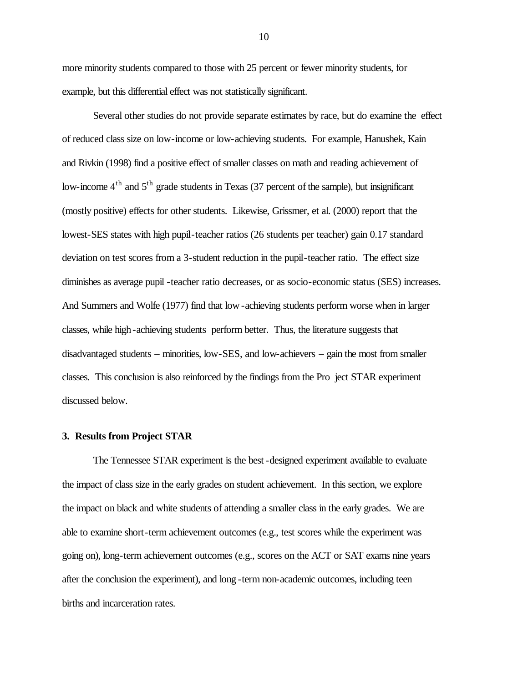more minority students compared to those with 25 percent or fewer minority students, for example, but this differential effect was not statistically significant.

Several other studies do not provide separate estimates by race, but do examine the effect of reduced class size on low-income or low-achieving students. For example, Hanushek, Kain and Rivkin (1998) find a positive effect of smaller classes on math and reading achievement of low-income  $4<sup>th</sup>$  and  $5<sup>th</sup>$  grade students in Texas (37 percent of the sample), but insignificant (mostly positive) effects for other students. Likewise, Grissmer, et al. (2000) report that the lowest-SES states with high pupil-teacher ratios (26 students per teacher) gain 0.17 standard deviation on test scores from a 3-student reduction in the pupil-teacher ratio. The effect size diminishes as average pupil -teacher ratio decreases, or as socio-economic status (SES) increases. And Summers and Wolfe (1977) find that low-achieving students perform worse when in larger classes, while high -achieving students perform better. Thus, the literature suggests that disadvantaged students – minorities, low-SES, and low-achievers – gain the most from smaller classes. This conclusion is also reinforced by the findings from the Pro ject STAR experiment discussed below.

# **3. Results from Project STAR**

The Tennessee STAR experiment is the best-designed experiment available to evaluate the impact of class size in the early grades on student achievement. In this section, we explore the impact on black and white students of attending a smaller class in the early grades. We are able to examine short-term achievement outcomes (e.g., test scores while the experiment was going on), long-term achievement outcomes (e.g., scores on the ACT or SAT exams nine years after the conclusion the experiment), and long -term non-academic outcomes, including teen births and incarceration rates.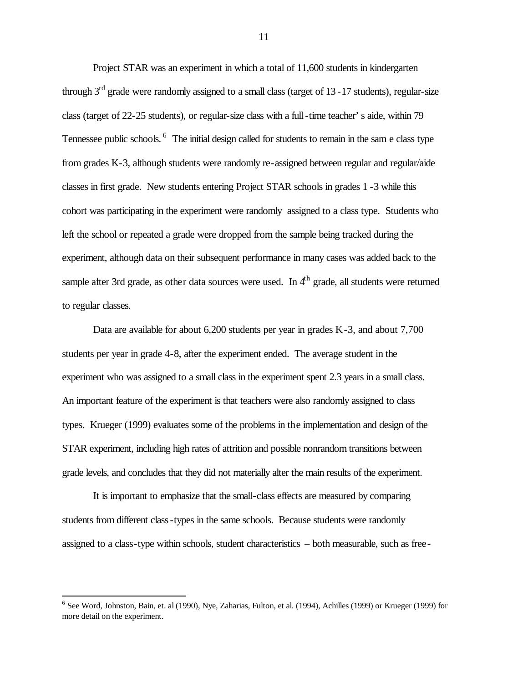Project STAR was an experiment in which a total of 11,600 students in kindergarten through  $3<sup>rd</sup>$  grade were randomly assigned to a small class (target of 13 - 17 students), regular-size class (target of 22-25 students), or regular-size class with a full -time teacher's aide, within 79 Tennessee public schools. <sup>6</sup> The initial design called for students to remain in the sam e class type from grades K-3, although students were randomly re-assigned between regular and regular/aide classes in first grade. New students entering Project STAR schools in grades 1 -3 while this cohort was participating in the experiment were randomly assigned to a class type. Students who left the school or repeated a grade were dropped from the sample being tracked during the experiment, although data on their subsequent performance in many cases was added back to the sample after 3rd grade, as other data sources were used. In  $4<sup>th</sup>$  grade, all students were returned to regular classes.

Data are available for about 6,200 students per year in grades K-3, and about 7,700 students per year in grade 4-8, after the experiment ended. The average student in the experiment who was assigned to a small class in the experiment spent 2.3 years in a small class. An important feature of the experiment is that teachers were also randomly assigned to class types. Krueger (1999) evaluates some of the problems in the implementation and design of the STAR experiment, including high rates of attrition and possible nonrandom transitions between grade levels, and concludes that they did not materially alter the main results of the experiment.

It is important to emphasize that the small-class effects are measured by comparing students from different class-types in the same schools. Because students were randomly assigned to a class-type within schools, student characteristics – both measurable, such as free-

<sup>&</sup>lt;sup>6</sup> See Word, Johnston, Bain, et. al (1990), Nye, Zaharias, Fulton, et al. (1994), Achilles (1999) or Krueger (1999) for more detail on the experiment.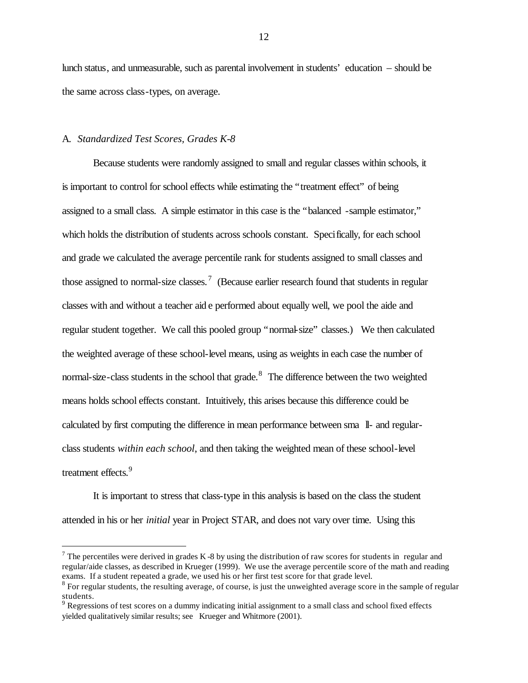lunch status, and unmeasurable, such as parental involvement in students' education – should be the same across class-types, on average.

## A. *Standardized Test Scores, Grades K-8*

 $\overline{a}$ 

Because students were randomly assigned to small and regular classes within schools, it is important to control for school effects while estimating the "treatment effect" of being assigned to a small class. A simple estimator in this case is the "balanced -sample estimator," which holds the distribution of students across schools constant. Specifically, for each school and grade we calculated the average percentile rank for students assigned to small classes and those assigned to normal-size classes.<sup>7</sup> (Because earlier research found that students in regular classes with and without a teacher aid e performed about equally well, we pool the aide and regular student together. We call this pooled group "normal-size" classes.) We then calculated the weighted average of these school-level means, using as weights in each case the number of normal-size-class students in the school that grade.<sup>8</sup> The difference between the two weighted means holds school effects constant. Intuitively, this arises because this difference could be calculated by first computing the difference in mean performance between sma ll- and regularclass students *within each school*, and then taking the weighted mean of these school-level treatment effects.<sup>9</sup>

It is important to stress that class-type in this analysis is based on the class the student attended in his or her *initial* year in Project STAR, and does not vary over time. Using this

 $7$  The percentiles were derived in grades K -8 by using the distribution of raw scores for students in regular and regular/aide classes, as described in Krueger (1999). We use the average percentile score of the math and reading exams. If a student repeated a grade, we used his or her first test score for that grade level.

 $8$  For regular students, the resulting average, of course, is just the unweighted average score in the sample of regular students.<br><sup>9</sup> Regressions of test scores on a dummy indicating initial assignment to a small class and school fixed effects

yielded qualitatively similar results; see Krueger and Whitmore (2001).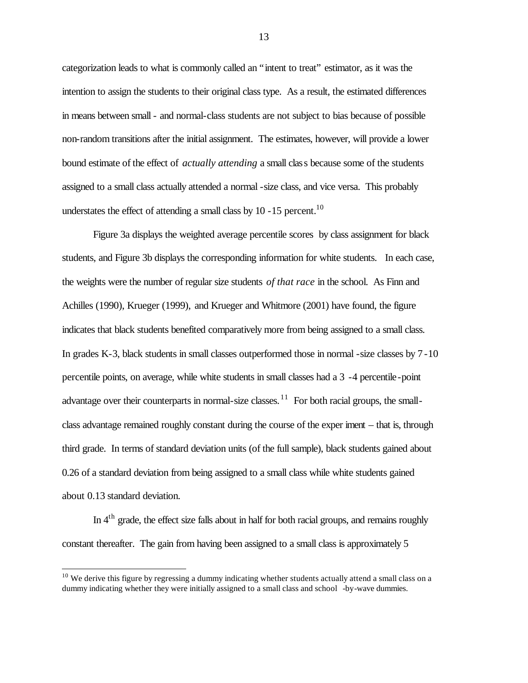categorization leads to what is commonly called an "intent to treat" estimator, as it was the intention to assign the students to their original class type. As a result, the estimated differences in means between small - and normal-class students are not subject to bias because of possible non-random transitions after the initial assignment. The estimates, however, will provide a lower bound estimate of the effect of *actually attending* a small class because some of the students assigned to a small class actually attended a normal -size class, and vice versa. This probably understates the effect of attending a small class by 10 -15 percent.<sup>10</sup>

Figure 3a displays the weighted average percentile scores by class assignment for black students, and Figure 3b displays the corresponding information for white students. In each case, the weights were the number of regular size students *of that race* in the school. As Finn and Achilles (1990), Krueger (1999), and Krueger and Whitmore (2001) have found, the figure indicates that black students benefited comparatively more from being assigned to a small class. In grades K-3, black students in small classes outperformed those in normal -size classes by 7 -10 percentile points, on average, while white students in small classes had a 3 -4 percentile-point advantage over their counterparts in normal-size classes.<sup>11</sup> For both racial groups, the smallclass advantage remained roughly constant during the course of the exper iment – that is, through third grade. In terms of standard deviation units (of the full sample), black students gained about 0.26 of a standard deviation from being assigned to a small class while white students gained about 0.13 standard deviation.

In  $4<sup>th</sup>$  grade, the effect size falls about in half for both racial groups, and remains roughly constant thereafter. The gain from having been assigned to a small class is approximately 5

 $\overline{a}$ 

 $10$  We derive this figure by regressing a dummy indicating whether students actually attend a small class on a dummy indicating whether they were initially assigned to a small class and school -by-wave dummies.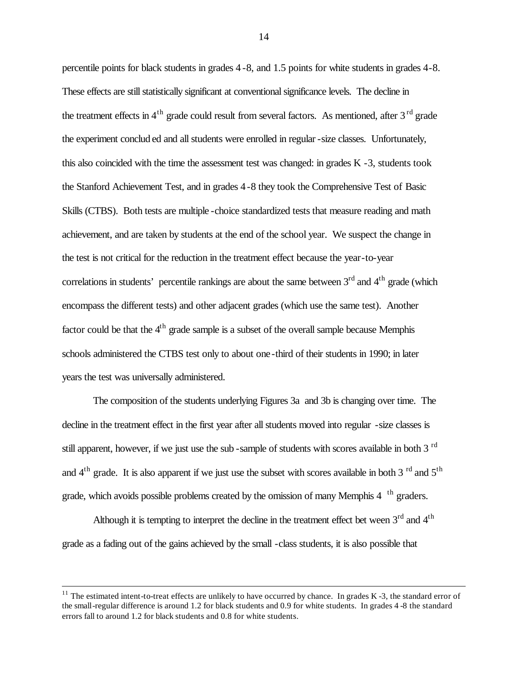percentile points for black students in grades 4 -8, and 1.5 points for white students in grades 4-8. These effects are still statistically significant at conventional significance levels. The decline in the treatment effects in  $4<sup>th</sup>$  grade could result from several factors. As mentioned, after  $3<sup>rd</sup>$  grade the experiment conclud ed and all students were enrolled in regular -size classes. Unfortunately, this also coincided with the time the assessment test was changed: in grades K -3, students took the Stanford Achievement Test, and in grades 4-8 they took the Comprehensive Test of Basic Skills (CTBS). Both tests are multiple -choice standardized tests that measure reading and math achievement, and are taken by students at the end of the school year. We suspect the change in the test is not critical for the reduction in the treatment effect because the year-to-year correlations in students' percentile rankings are about the same between  $3<sup>rd</sup>$  and  $4<sup>th</sup>$  grade (which encompass the different tests) and other adjacent grades (which use the same test). Another factor could be that the  $4<sup>th</sup>$  grade sample is a subset of the overall sample because Memphis schools administered the CTBS test only to about one -third of their students in 1990; in later years the test was universally administered.

The composition of the students underlying Figures 3a and 3b is changing over time. The decline in the treatment effect in the first year after all students moved into regular -size classes is still apparent, however, if we just use the sub-sample of students with scores available in both 3<sup>rd</sup> and  $4<sup>th</sup>$  grade. It is also apparent if we just use the subset with scores available in both 3 <sup>rd</sup> and 5<sup>th</sup> grade, which avoids possible problems created by the omission of many Memphis  $4<sup>th</sup>$  graders.

Although it is tempting to interpret the decline in the treatment effect bet ween  $3<sup>rd</sup>$  and  $4<sup>th</sup>$ grade as a fading out of the gains achieved by the small -class students, it is also possible that

<sup>&</sup>lt;sup>11</sup> The estimated intent-to-treat effects are unlikely to have occurred by chance. In grades K  $-3$ , the standard error of the small-regular difference is around 1.2 for black students and 0.9 for white students. In grades 4 -8 the standard errors fall to around 1.2 for black students and 0.8 for white students.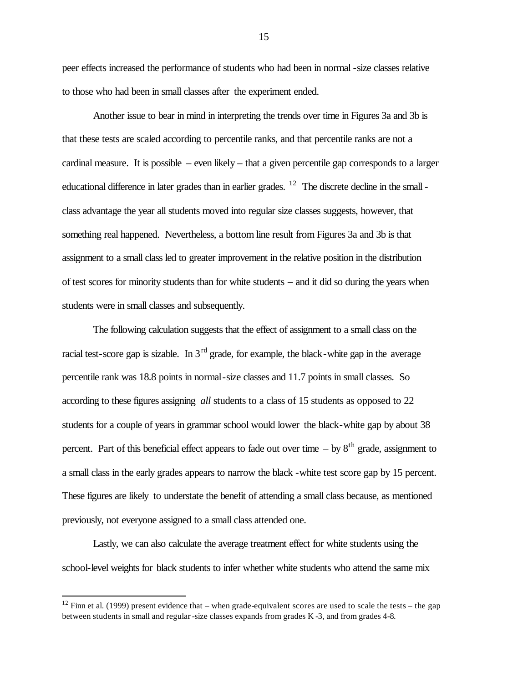peer effects increased the performance of students who had been in normal -size classes relative to those who had been in small classes after the experiment ended.

Another issue to bear in mind in interpreting the trends over time in Figures 3a and 3b is that these tests are scaled according to percentile ranks, and that percentile ranks are not a cardinal measure. It is possible – even likely – that a given percentile gap corresponds to a larger educational difference in later grades than in earlier grades. <sup>12</sup> The discrete decline in the small class advantage the year all students moved into regular size classes suggests, however, that something real happened. Nevertheless, a bottom line result from Figures 3a and 3b is that assignment to a small class led to greater improvement in the relative position in the distribution of test scores for minority students than for white students – and it did so during the years when students were in small classes and subsequently.

The following calculation suggests that the effect of assignment to a small class on the racial test-score gap is sizable. In  $3<sup>rd</sup>$  grade, for example, the black-white gap in the average percentile rank was 18.8 points in normal-size classes and 11.7 points in small classes. So according to these figures assigning *all* students to a class of 15 students as opposed to 22 students for a couple of years in grammar school would lower the black-white gap by about 38 percent. Part of this beneficial effect appears to fade out over time  $-$  by  $8<sup>th</sup>$  grade, assignment to a small class in the early grades appears to narrow the black -white test score gap by 15 percent. These figures are likely to understate the benefit of attending a small class because, as mentioned previously, not everyone assigned to a small class attended one.

Lastly, we can also calculate the average treatment effect for white students using the school-level weights for black students to infer whether white students who attend the same mix

<sup>&</sup>lt;sup>12</sup> Finn et al. (1999) present evidence that – when grade-equivalent scores are used to scale the tests – the gap between students in small and regular-size classes expands from grades K -3, and from grades 4-8.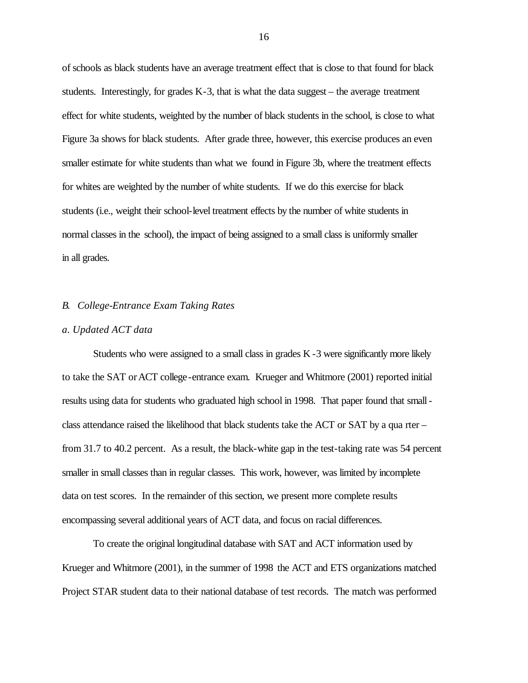of schools as black students have an average treatment effect that is close to that found for black students. Interestingly, for grades  $K-3$ , that is what the data suggest – the average treatment effect for white students, weighted by the number of black students in the school, is close to what Figure 3a shows for black students. After grade three, however, this exercise produces an even smaller estimate for white students than what we found in Figure 3b, where the treatment effects for whites are weighted by the number of white students. If we do this exercise for black students (i.e., weight their school-level treatment effects by the number of white students in normal classes in the school), the impact of being assigned to a small class is uniformly smaller in all grades.

#### *B. College-Entrance Exam Taking Rates*

#### *a. Updated ACT data*

Students who were assigned to a small class in grades K -3 were significantly more likely to take the SAT or ACT college-entrance exam. Krueger and Whitmore (2001) reported initial results using data for students who graduated high school in 1998. That paper found that small class attendance raised the likelihood that black students take the ACT or SAT by a qua rter – from 31.7 to 40.2 percent. As a result, the black-white gap in the test-taking rate was 54 percent smaller in small classes than in regular classes. This work, however, was limited by incomplete data on test scores. In the remainder of this section, we present more complete results encompassing several additional years of ACT data, and focus on racial differences.

To create the original longitudinal database with SAT and ACT information used by Krueger and Whitmore (2001), in the summer of 1998 the ACT and ETS organizations matched Project STAR student data to their national database of test records. The match was performed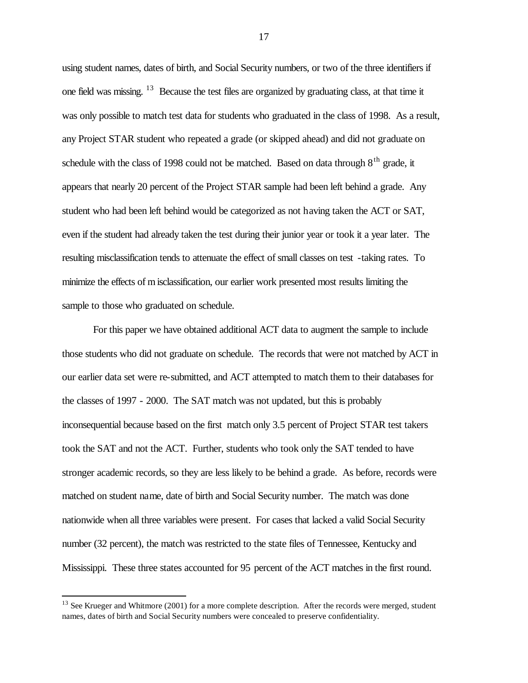using student names, dates of birth, and Social Security numbers, or two of the three identifiers if one field was missing. <sup>13</sup> Because the test files are organized by graduating class, at that time it was only possible to match test data for students who graduated in the class of 1998. As a result, any Project STAR student who repeated a grade (or skipped ahead) and did not graduate on schedule with the class of 1998 could not be matched. Based on data through  $8<sup>th</sup>$  grade, it appears that nearly 20 percent of the Project STAR sample had been left behind a grade. Any student who had been left behind would be categorized as not having taken the ACT or SAT, even if the student had already taken the test during their junior year or took it a year later. The resulting misclassification tends to attenuate the effect of small classes on test -taking rates. To minimize the effects of m isclassification, our earlier work presented most results limiting the sample to those who graduated on schedule.

For this paper we have obtained additional ACT data to augment the sample to include those students who did not graduate on schedule. The records that were not matched by ACT in our earlier data set were re-submitted, and ACT attempted to match them to their databases for the classes of 1997 - 2000. The SAT match was not updated, but this is probably inconsequential because based on the first match only 3.5 percent of Project STAR test takers took the SAT and not the ACT. Further, students who took only the SAT tended to have stronger academic records, so they are less likely to be behind a grade. As before, records were matched on student name, date of birth and Social Security number. The match was done nationwide when all three variables were present. For cases that lacked a valid Social Security number (32 percent), the match was restricted to the state files of Tennessee, Kentucky and Mississippi. These three states accounted for 95 percent of the ACT matches in the first round.

 $13$  See Krueger and Whitmore (2001) for a more complete description. After the records were merged, student names, dates of birth and Social Security numbers were concealed to preserve confidentiality.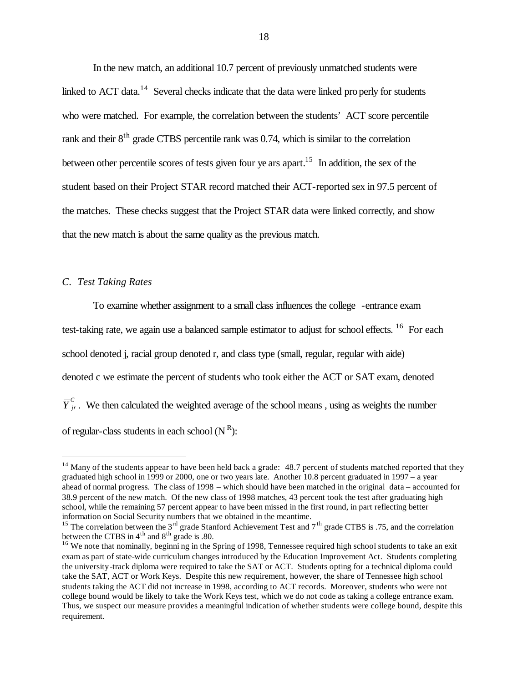In the new match, an additional 10.7 percent of previously unmatched students were linked to ACT data.<sup>14</sup> Several checks indicate that the data were linked properly for students who were matched. For example, the correlation between the students' ACT score percentile rank and their  $8<sup>th</sup>$  grade CTBS percentile rank was 0.74, which is similar to the correlation between other percentile scores of tests given four ye ars apart.<sup>15</sup> In addition, the sex of the student based on their Project STAR record matched their ACT-reported sex in 97.5 percent of the matches. These checks suggest that the Project STAR data were linked correctly, and show that the new match is about the same quality as the previous match.

# *C. Test Taking Rates*

 $\overline{a}$ 

To examine whether assignment to a small class influences the college -entrance exam test-taking rate, we again use a balanced sample estimator to adjust for school effects. <sup>16</sup> For each school denoted j, racial group denoted r, and class type (small, regular, regular with aide) denoted c we estimate the percent of students who took either the ACT or SAT exam, denoted  $\overline{Y}_{jr}^c$ . We then calculated the weighted average of the school means, using as weights the number of regular-class students in each school  $(N<sup>R</sup>)$ :

 $14$  Many of the students appear to have been held back a grade: 48.7 percent of students matched reported that they graduated high school in 1999 or 2000, one or two years late. Another 10.8 percent graduated in 1997 – a year ahead of normal progress. The class of 1998 – which should have been matched in the original data – accounted for 38.9 percent of the new match. Of the new class of 1998 matches, 43 percent took the test after graduating high school, while the remaining 57 percent appear to have been missed in the first round, in part reflecting better information on Social Security numbers that we obtained in the meantime.

<sup>&</sup>lt;sup>15</sup> The correlation between the 3<sup>rd</sup> grade Stanford Achievement Test and 7<sup>th</sup> grade CTBS is .75, and the correlation between the CTBS in  $4^{\text{th}}$  and  $8^{\text{th}}$  grade is .80.

<sup>&</sup>lt;sup>16</sup> We note that nominally, beginni ng in the Spring of 1998, Tennessee required high school students to take an exit exam as part of state-wide curriculum changes introduced by the Education Improvement Act. Students completing the university -track diploma were required to take the SAT or ACT. Students opting for a technical diploma could take the SAT, ACT or Work Keys. Despite this new requirement, however, the share of Tennessee high school students taking the ACT did not increase in 1998, according to ACT records. Moreover, students who were not college bound would be likely to take the Work Keys test, which we do not code as taking a college entrance exam. Thus, we suspect our measure provides a meaningful indication of whether students were college bound, despite this requirement.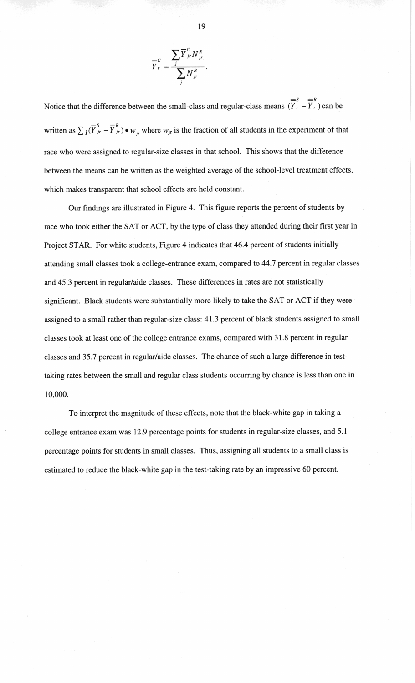

Notice that the difference between the small-class and regular-class means  $\overline{(\overline{Y}_r - \overline{Y}_r)}$  can be written as  $\sum_j (\overline{Y}_{jr}^s - \overline{Y}_{jr}^R) \bullet w_{jr}$  where  $w_{jr}$  is the fraction of all students in the experiment of that race who were assigned to regular-size classes in that school. This shows that the difference between the means can be written as the weighted average of the school-level treatment effects, which makes transparent that school effects are held constant.

Our findings are illustrated in Figure 4. This figure reports the percent of students by race who took either the SAT or ACT, by the type of class they attended during their first year in Project STAR. For white students, Figure 4 indicates that 46.4 percent of students initially attending small classes took a college-entrance exam, compared to 44.7 percent in regular classes and 45.3 percent in regular/aide classes. These differences in rates are not statistically significant. Black students were substantially more likely to take the SAT or ACT if they were assigned to a small rather than regular-size class: 41.3 percent of black students assigned to small classes took at least one of the college entrance exams, compared with 31.8 percent in regular classes and 35.7 percent in regular/aide classes. The chance of such a large difference in testtaking rates between the small and regular class students occurring by chance is less than one in 10,000.

To interpret the magnitude of these effects, note that the black-white gap in taking a college entrance exam was 12.9 percentage points for students in regular-size classes, and 5.1 percentage points for students in small classes. Thus, assigning all students to a small class is estimated to reduce the black-white gap in the test-taking rate by an impressive 60 percent.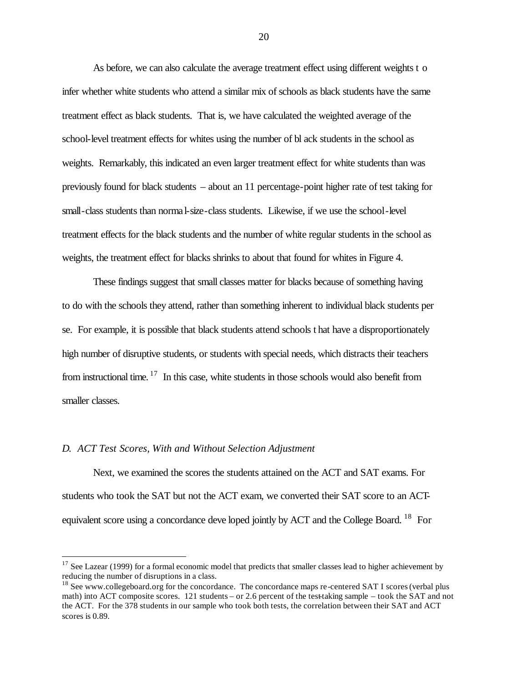As before, we can also calculate the average treatment effect using different weights t o infer whether white students who attend a similar mix of schools as black students have the same treatment effect as black students. That is, we have calculated the weighted average of the school-level treatment effects for whites using the number of bl ack students in the school as weights. Remarkably, this indicated an even larger treatment effect for white students than was previously found for black students – about an 11 percentage-point higher rate of test taking for small-class students than norma l-size-class students. Likewise, if we use the school-level treatment effects for the black students and the number of white regular students in the school as weights, the treatment effect for blacks shrinks to about that found for whites in Figure 4.

These findings suggest that small classes matter for blacks because of something having to do with the schools they attend, rather than something inherent to individual black students per se. For example, it is possible that black students attend schools t hat have a disproportionately high number of disruptive students, or students with special needs, which distracts their teachers from instructional time.  $17$  In this case, white students in those schools would also benefit from smaller classes.

#### *D. ACT Test Scores, With and Without Selection Adjustment*

 $\overline{a}$ 

Next, we examined the scores the students attained on the ACT and SAT exams. For students who took the SAT but not the ACT exam, we converted their SAT score to an ACTequivalent score using a concordance deve loped jointly by ACT and the College Board. <sup>18</sup> For

 $17$  See Lazear (1999) for a formal economic model that predicts that smaller classes lead to higher achievement by reducing the number of disruptions in a class.

<sup>&</sup>lt;sup>18</sup> See www.collegeboard.org for the concordance. The concordance maps re-centered SAT I scores (verbal plus math) into ACT composite scores. 121 students – or 2.6 percent of the test-taking sample – took the SAT and not the ACT. For the 378 students in our sample who took both tests, the correlation between their SAT and ACT scores is 0.89.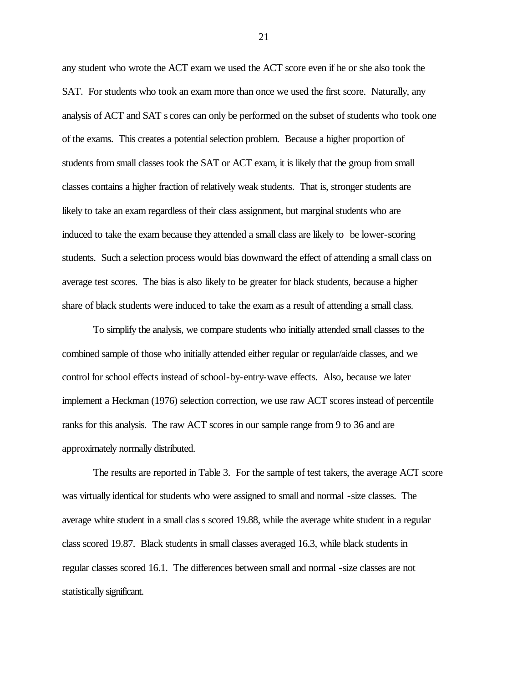any student who wrote the ACT exam we used the ACT score even if he or she also took the SAT. For students who took an exam more than once we used the first score. Naturally, any analysis of ACT and SAT s cores can only be performed on the subset of students who took one of the exams. This creates a potential selection problem. Because a higher proportion of students from small classes took the SAT or ACT exam, it is likely that the group from small classes contains a higher fraction of relatively weak students. That is, stronger students are likely to take an exam regardless of their class assignment, but marginal students who are induced to take the exam because they attended a small class are likely to be lower-scoring students. Such a selection process would bias downward the effect of attending a small class on average test scores. The bias is also likely to be greater for black students, because a higher share of black students were induced to take the exam as a result of attending a small class.

To simplify the analysis, we compare students who initially attended small classes to the combined sample of those who initially attended either regular or regular/aide classes, and we control for school effects instead of school-by-entry-wave effects. Also, because we later implement a Heckman (1976) selection correction, we use raw ACT scores instead of percentile ranks for this analysis. The raw ACT scores in our sample range from 9 to 36 and are approximately normally distributed.

The results are reported in Table 3. For the sample of test takers, the average ACT score was virtually identical for students who were assigned to small and normal -size classes. The average white student in a small clas s scored 19.88, while the average white student in a regular class scored 19.87. Black students in small classes averaged 16.3, while black students in regular classes scored 16.1. The differences between small and normal -size classes are not statistically significant.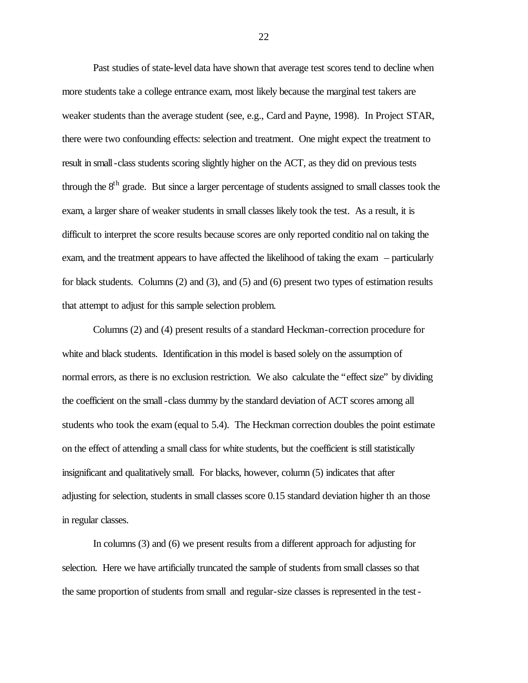Past studies of state-level data have shown that average test scores tend to decline when more students take a college entrance exam, most likely because the marginal test takers are weaker students than the average student (see, e.g., Card and Payne, 1998). In Project STAR, there were two confounding effects: selection and treatment. One might expect the treatment to result in small-class students scoring slightly higher on the ACT, as they did on previous tests through the 8<sup>th</sup> grade. But since a larger percentage of students assigned to small classes took the exam, a larger share of weaker students in small classes likely took the test. As a result, it is difficult to interpret the score results because scores are only reported conditio nal on taking the exam, and the treatment appears to have affected the likelihood of taking the exam – particularly for black students. Columns (2) and (3), and (5) and (6) present two types of estimation results that attempt to adjust for this sample selection problem.

Columns (2) and (4) present results of a standard Heckman-correction procedure for white and black students. Identification in this model is based solely on the assumption of normal errors, as there is no exclusion restriction. We also calculate the "effect size" by dividing the coefficient on the small -class dummy by the standard deviation of ACT scores among all students who took the exam (equal to 5.4). The Heckman correction doubles the point estimate on the effect of attending a small class for white students, but the coefficient is still statistically insignificant and qualitatively small. For blacks, however, column (5) indicates that after adjusting for selection, students in small classes score 0.15 standard deviation higher th an those in regular classes.

In columns (3) and (6) we present results from a different approach for adjusting for selection. Here we have artificially truncated the sample of students from small classes so that the same proportion of students from small and regular-size classes is represented in the test-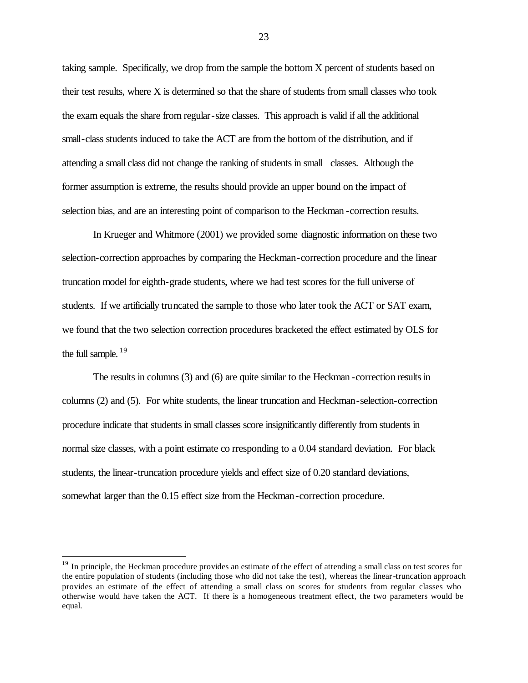taking sample. Specifically, we drop from the sample the bottom X percent of students based on their test results, where X is determined so that the share of students from small classes who took the exam equals the share from regular-size classes. This approach is valid if all the additional small-class students induced to take the ACT are from the bottom of the distribution, and if attending a small class did not change the ranking of students in small classes. Although the former assumption is extreme, the results should provide an upper bound on the impact of selection bias, and are an interesting point of comparison to the Heckman -correction results.

In Krueger and Whitmore (2001) we provided some diagnostic information on these two selection-correction approaches by comparing the Heckman-correction procedure and the linear truncation model for eighth-grade students, where we had test scores for the full universe of students. If we artificially truncated the sample to those who later took the ACT or SAT exam, we found that the two selection correction procedures bracketed the effect estimated by OLS for the full sample.  $19$ 

The results in columns (3) and (6) are quite similar to the Heckman -correction results in columns (2) and (5). For white students, the linear truncation and Heckman-selection-correction procedure indicate that students in small classes score insignificantly differently from students in normal size classes, with a point estimate co rresponding to a 0.04 standard deviation. For black students, the linear-truncation procedure yields and effect size of 0.20 standard deviations, somewhat larger than the 0.15 effect size from the Heckman -correction procedure.

 $\overline{a}$ 

<sup>&</sup>lt;sup>19</sup> In principle, the Heckman procedure provides an estimate of the effect of attending a small class on test scores for the entire population of students (including those who did not take the test), whereas the linear-truncation approach provides an estimate of the effect of attending a small class on scores for students from regular classes who otherwise would have taken the ACT. If there is a homogeneous treatment effect, the two parameters would be equal.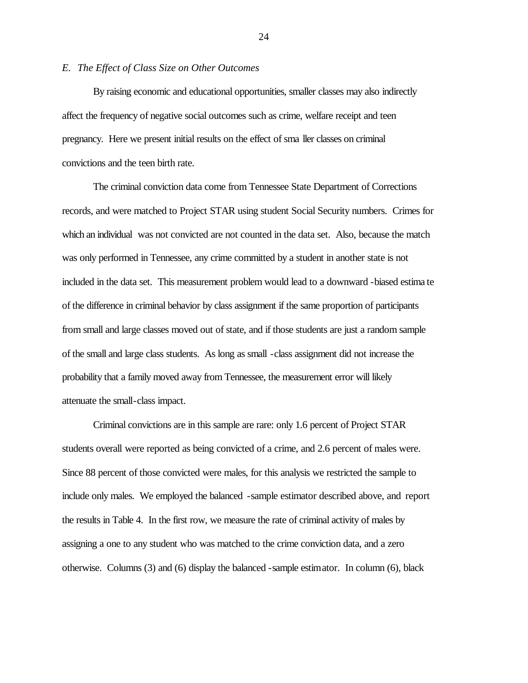#### *E. The Effect of Class Size on Other Outcomes*

By raising economic and educational opportunities, smaller classes may also indirectly affect the frequency of negative social outcomes such as crime, welfare receipt and teen pregnancy. Here we present initial results on the effect of sma ller classes on criminal convictions and the teen birth rate.

The criminal conviction data come from Tennessee State Department of Corrections records, and were matched to Project STAR using student Social Security numbers. Crimes for which an individual was not convicted are not counted in the data set. Also, because the match was only performed in Tennessee, any crime committed by a student in another state is not included in the data set. This measurement problem would lead to a downward -biased estima te of the difference in criminal behavior by class assignment if the same proportion of participants from small and large classes moved out of state, and if those students are just a random sample of the small and large class students. As long as small -class assignment did not increase the probability that a family moved away from Tennessee, the measurement error will likely attenuate the small-class impact.

Criminal convictions are in this sample are rare: only 1.6 percent of Project STAR students overall were reported as being convicted of a crime, and 2.6 percent of males were. Since 88 percent of those convicted were males, for this analysis we restricted the sample to include only males. We employed the balanced -sample estimator described above, and report the results in Table 4. In the first row, we measure the rate of criminal activity of males by assigning a one to any student who was matched to the crime conviction data, and a zero otherwise. Columns (3) and (6) display the balanced -sample estimator. In column (6), black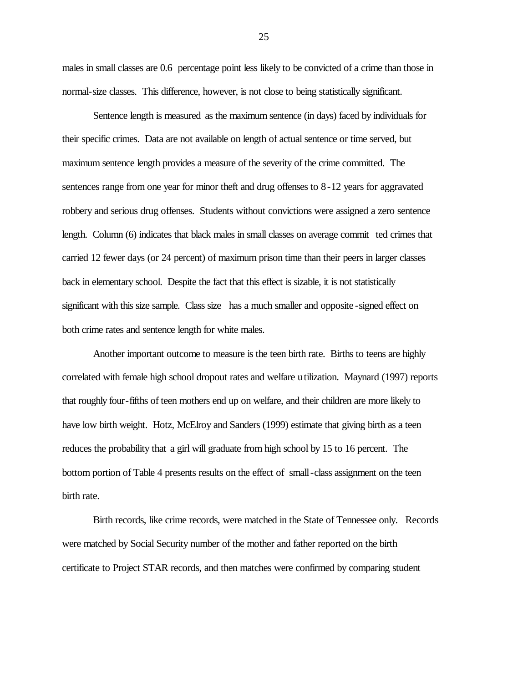males in small classes are 0.6 percentage point less likely to be convicted of a crime than those in normal-size classes. This difference, however, is not close to being statistically significant.

Sentence length is measured as the maximum sentence (in days) faced by individuals for their specific crimes. Data are not available on length of actual sentence or time served, but maximum sentence length provides a measure of the severity of the crime committed. The sentences range from one year for minor theft and drug offenses to 8-12 years for aggravated robbery and serious drug offenses. Students without convictions were assigned a zero sentence length. Column (6) indicates that black males in small classes on average commit ted crimes that carried 12 fewer days (or 24 percent) of maximum prison time than their peers in larger classes back in elementary school. Despite the fact that this effect is sizable, it is not statistically significant with this size sample. Class size has a much smaller and opposite -signed effect on both crime rates and sentence length for white males.

Another important outcome to measure is the teen birth rate. Births to teens are highly correlated with female high school dropout rates and welfare utilization. Maynard (1997) reports that roughly four-fifths of teen mothers end up on welfare, and their children are more likely to have low birth weight. Hotz, McElroy and Sanders (1999) estimate that giving birth as a teen reduces the probability that a girl will graduate from high school by 15 to 16 percent. The bottom portion of Table 4 presents results on the effect of small-class assignment on the teen birth rate.

Birth records, like crime records, were matched in the State of Tennessee only. Records were matched by Social Security number of the mother and father reported on the birth certificate to Project STAR records, and then matches were confirmed by comparing student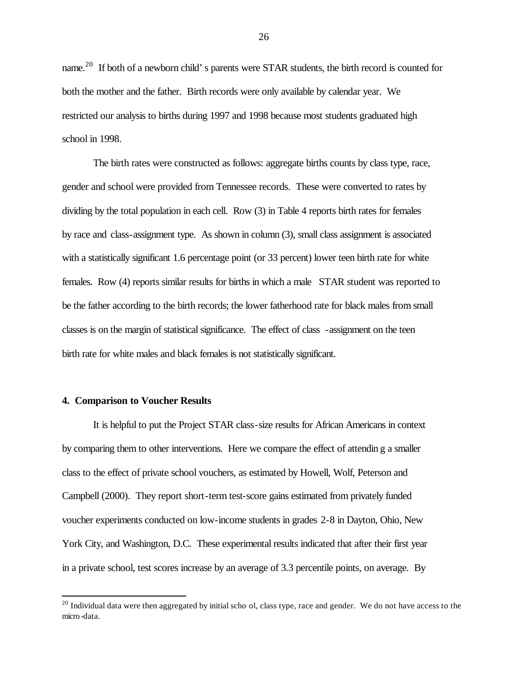name.<sup>20</sup> If both of a newborn child's parents were STAR students, the birth record is counted for both the mother and the father. Birth records were only available by calendar year. We restricted our analysis to births during 1997 and 1998 because most students graduated high school in 1998.

The birth rates were constructed as follows: aggregate births counts by class type, race, gender and school were provided from Tennessee records. These were converted to rates by dividing by the total population in each cell. Row (3) in Table 4 reports birth rates for females by race and class-assignment type. As shown in column (3), small class assignment is associated with a statistically significant 1.6 percentage point (or 33 percent) lower teen birth rate for white females. Row (4) reports similar results for births in which a male STAR student was reported to be the father according to the birth records; the lower fatherhood rate for black males from small classes is on the margin of statistical significance. The effect of class -assignment on the teen birth rate for white males and black females is not statistically significant.

#### **4. Comparison to Voucher Results**

 $\overline{a}$ 

It is helpful to put the Project STAR class-size results for African Americans in context by comparing them to other interventions. Here we compare the effect of attendin g a smaller class to the effect of private school vouchers, as estimated by Howell, Wolf, Peterson and Campbell (2000). They report short-term test-score gains estimated from privately funded voucher experiments conducted on low-income students in grades 2-8 in Dayton, Ohio, New York City, and Washington, D.C. These experimental results indicated that after their first year in a private school, test scores increase by an average of 3.3 percentile points, on average. By

 $^{20}$  Individual data were then aggregated by initial scho ol, class type, race and gender. We do not have access to the micro-data.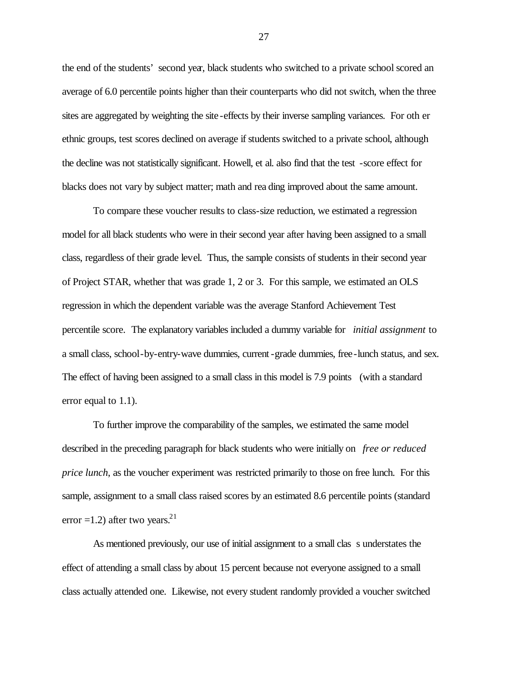the end of the students' second year, black students who switched to a private school scored an average of 6.0 percentile points higher than their counterparts who did not switch, when the three sites are aggregated by weighting the site -effects by their inverse sampling variances. For oth er ethnic groups, test scores declined on average if students switched to a private school, although the decline was not statistically significant. Howell, et al. also find that the test -score effect for blacks does not vary by subject matter; math and rea ding improved about the same amount.

To compare these voucher results to class-size reduction, we estimated a regression model for all black students who were in their second year after having been assigned to a small class, regardless of their grade level. Thus, the sample consists of students in their second year of Project STAR, whether that was grade 1, 2 or 3. For this sample, we estimated an OLS regression in which the dependent variable was the average Stanford Achievement Test percentile score. The explanatory variables included a dummy variable for *initial assignment* to a small class, school-by-entry-wave dummies, current-grade dummies, free-lunch status, and sex. The effect of having been assigned to a small class in this model is 7.9 points (with a standard error equal to 1.1).

To further improve the comparability of the samples, we estimated the same model described in the preceding paragraph for black students who were initially on *free or reduced price lunch*, as the voucher experiment was restricted primarily to those on free lunch. For this sample, assignment to a small class raised scores by an estimated 8.6 percentile points (standard error =1.2) after two years. $2<sup>1</sup>$ 

As mentioned previously, our use of initial assignment to a small clas s understates the effect of attending a small class by about 15 percent because not everyone assigned to a small class actually attended one. Likewise, not every student randomly provided a voucher switched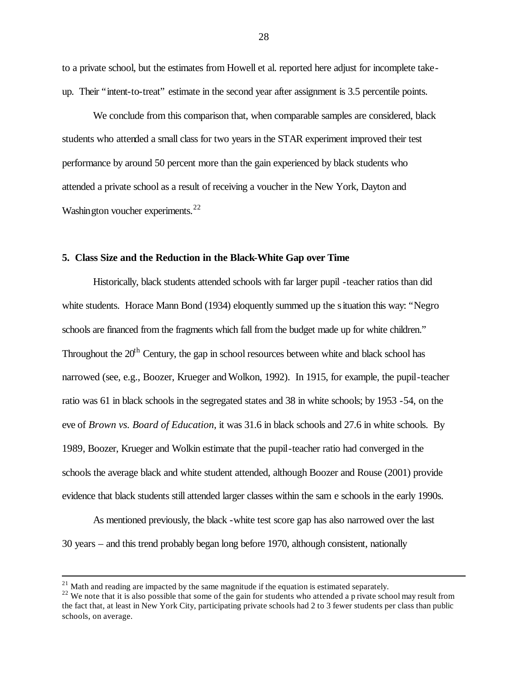to a private school, but the estimates from Howell et al. reported here adjust for incomplete takeup. Their "intent-to-treat" estimate in the second year after assignment is 3.5 percentile points.

We conclude from this comparison that, when comparable samples are considered, black students who attended a small class for two years in the STAR experiment improved their test performance by around 50 percent more than the gain experienced by black students who attended a private school as a result of receiving a voucher in the New York, Dayton and Washington voucher experiments. $^{22}$ 

### **5. Class Size and the Reduction in the Black-White Gap over Time**

Historically, black students attended schools with far larger pupil -teacher ratios than did white students. Horace Mann Bond (1934) eloquently summed up the situation this way: "Negro schools are financed from the fragments which fall from the budget made up for white children." Throughout the  $20<sup>th</sup>$  Century, the gap in school resources between white and black school has narrowed (see, e.g., Boozer, Krueger and Wolkon, 1992). In 1915, for example, the pupil-teacher ratio was 61 in black schools in the segregated states and 38 in white schools; by 1953 -54, on the eve of *Brown vs. Board of Education*, it was 31.6 in black schools and 27.6 in white schools. By 1989, Boozer, Krueger and Wolkin estimate that the pupil-teacher ratio had converged in the schools the average black and white student attended, although Boozer and Rouse (2001) provide evidence that black students still attended larger classes within the sam e schools in the early 1990s.

As mentioned previously, the black -white test score gap has also narrowed over the last 30 years – and this trend probably began long before 1970, although consistent, nationally

 $^{21}$  Math and reading are impacted by the same magnitude if the equation is estimated separately.

<sup>&</sup>lt;sup>22</sup> We note that it is also possible that some of the gain for students who attended a p rivate school may result from the fact that, at least in New York City, participating private schools had 2 to 3 fewer students per class than public schools, on average.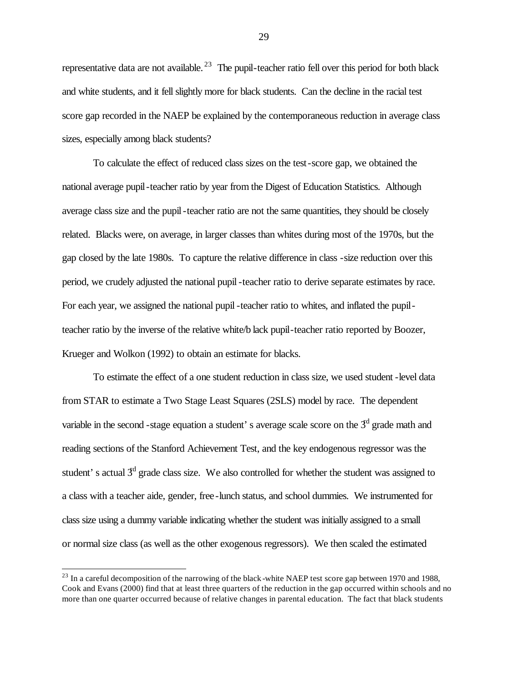representative data are not available.<sup>23</sup> The pupil-teacher ratio fell over this period for both black and white students, and it fell slightly more for black students. Can the decline in the racial test score gap recorded in the NAEP be explained by the contemporaneous reduction in average class sizes, especially among black students?

To calculate the effect of reduced class sizes on the test-score gap, we obtained the national average pupil-teacher ratio by year from the Digest of Education Statistics. Although average class size and the pupil-teacher ratio are not the same quantities, they should be closely related. Blacks were, on average, in larger classes than whites during most of the 1970s, but the gap closed by the late 1980s. To capture the relative difference in class -size reduction over this period, we crudely adjusted the national pupil -teacher ratio to derive separate estimates by race. For each year, we assigned the national pupil -teacher ratio to whites, and inflated the pupilteacher ratio by the inverse of the relative white/b lack pupil-teacher ratio reported by Boozer, Krueger and Wolkon (1992) to obtain an estimate for blacks.

To estimate the effect of a one student reduction in class size, we used student -level data from STAR to estimate a Two Stage Least Squares (2SLS) model by race. The dependent variable in the second -stage equation a student's average scale score on the  $3<sup>d</sup>$  grade math and reading sections of the Stanford Achievement Test, and the key endogenous regressor was the student's actual  $3<sup>d</sup>$  grade class size. We also controlled for whether the student was assigned to a class with a teacher aide, gender, free-lunch status, and school dummies. We instrumented for class size using a dummy variable indicating whether the student was initially assigned to a small or normal size class (as well as the other exogenous regressors). We then scaled the estimated

<sup>&</sup>lt;sup>23</sup> In a careful decomposition of the narrowing of the black -white NAEP test score gap between 1970 and 1988, Cook and Evans (2000) find that at least three quarters of the reduction in the gap occurred within schools and no more than one quarter occurred because of relative changes in parental education. The fact that black students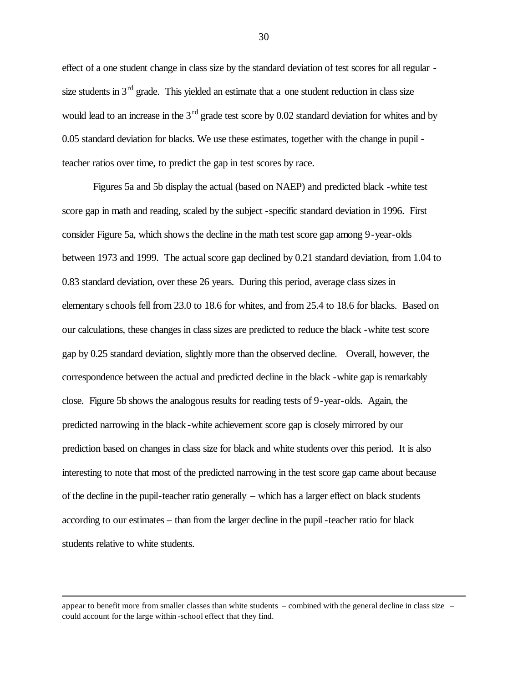effect of a one student change in class size by the standard deviation of test scores for all regular size students in  $3<sup>rd</sup>$  grade. This yielded an estimate that a one student reduction in class size would lead to an increase in the  $3<sup>rd</sup>$  grade test score by 0.02 standard deviation for whites and by 0.05 standard deviation for blacks. We use these estimates, together with the change in pupil teacher ratios over time, to predict the gap in test scores by race.

Figures 5a and 5b display the actual (based on NAEP) and predicted black -white test score gap in math and reading, scaled by the subject -specific standard deviation in 1996. First consider Figure 5a, which shows the decline in the math test score gap among 9-year-olds between 1973 and 1999. The actual score gap declined by 0.21 standard deviation, from 1.04 to 0.83 standard deviation, over these 26 years. During this period, average class sizes in elementary schools fell from 23.0 to 18.6 for whites, and from 25.4 to 18.6 for blacks. Based on our calculations, these changes in class sizes are predicted to reduce the black -white test score gap by 0.25 standard deviation, slightly more than the observed decline. Overall, however, the correspondence between the actual and predicted decline in the black -white gap is remarkably close. Figure 5b shows the analogous results for reading tests of 9-year-olds. Again, the predicted narrowing in the black -white achievement score gap is closely mirrored by our prediction based on changes in class size for black and white students over this period. It is also interesting to note that most of the predicted narrowing in the test score gap came about because of the decline in the pupil-teacher ratio generally – which has a larger effect on black students according to our estimates – than from the larger decline in the pupil -teacher ratio for black students relative to white students.

appear to benefit more from smaller classes than white students – combined with the general decline in class size – could account for the large within -school effect that they find.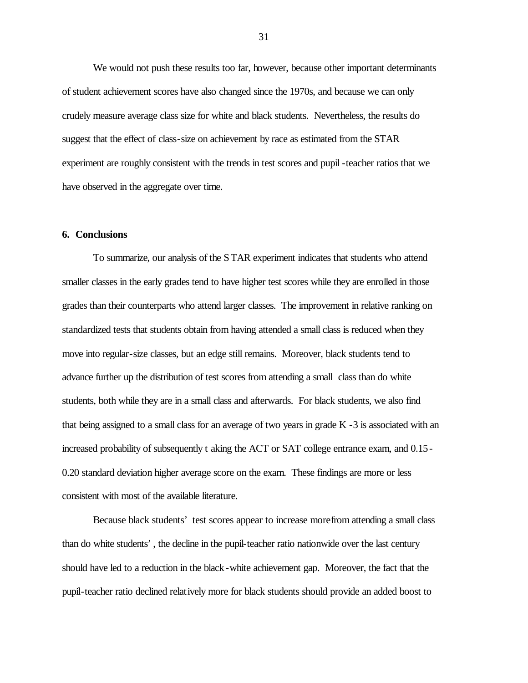We would not push these results too far, however, because other important determinants of student achievement scores have also changed since the 1970s, and because we can only crudely measure average class size for white and black students. Nevertheless, the results do suggest that the effect of class-size on achievement by race as estimated from the STAR experiment are roughly consistent with the trends in test scores and pupil -teacher ratios that we have observed in the aggregate over time.

# **6. Conclusions**

To summarize, our analysis of the STAR experiment indicates that students who attend smaller classes in the early grades tend to have higher test scores while they are enrolled in those grades than their counterparts who attend larger classes. The improvement in relative ranking on standardized tests that students obtain from having attended a small class is reduced when they move into regular-size classes, but an edge still remains. Moreover, black students tend to advance further up the distribution of test scores from attending a small class than do white students, both while they are in a small class and afterwards. For black students, we also find that being assigned to a small class for an average of two years in grade K -3 is associated with an increased probability of subsequently t aking the ACT or SAT college entrance exam, and 0.15- 0.20 standard deviation higher average score on the exam. These findings are more or less consistent with most of the available literature.

Because black students' test scores appear to increase more from attending a small class than do white students', the decline in the pupil-teacher ratio nationwide over the last century should have led to a reduction in the black -white achievement gap. Moreover, the fact that the pupil-teacher ratio declined relatively more for black students should provide an added boost to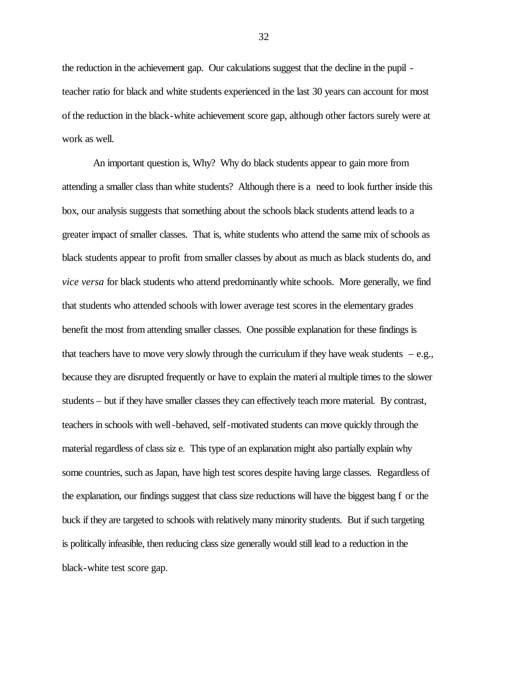the reduction in the achievement gap. Our calculations suggest that the decline in the pupil teacher ratio for black and white students experienced in the last 30 years can account for most of the reduction in the black-white achievement score gap, although other factors surely were at work as well.

An important question is, Why? Why do black students appear to gain more from attending a smaller class than white students? Although there is a need to look further inside this box, our analysis suggests that something about the schools black students attend leads to a greater impact of smaller classes. That is, white students who attend the same mix of schools as black students appear to profit from smaller classes by about as much as black students do, and *vice versa* for black students who attend predominantly white schools. More generally, we find that students who attended schools with lower average test scores in the elementary grades benefit the most from attending smaller classes. One possible explanation for these findings is that teachers have to move very slowly through the curriculum if they have weak students  $-e.g.,$ because they are disrupted frequently or have to explain the materi al multiple times to the slower students – but if they have smaller classes they can effectively teach more material. By contrast, teachers in schools with well-behaved, self-motivated students can move quickly through the material regardless of class siz e. This type of an explanation might also partially explain why some countries, such as Japan, have high test scores despite having large classes. Regardless of the explanation, our findings suggest that class size reductions will have the biggest bang f or the buck if they are targeted to schools with relatively many minority students. But if such targeting is politically infeasible, then reducing class size generally would still lead to a reduction in the black-white test score gap.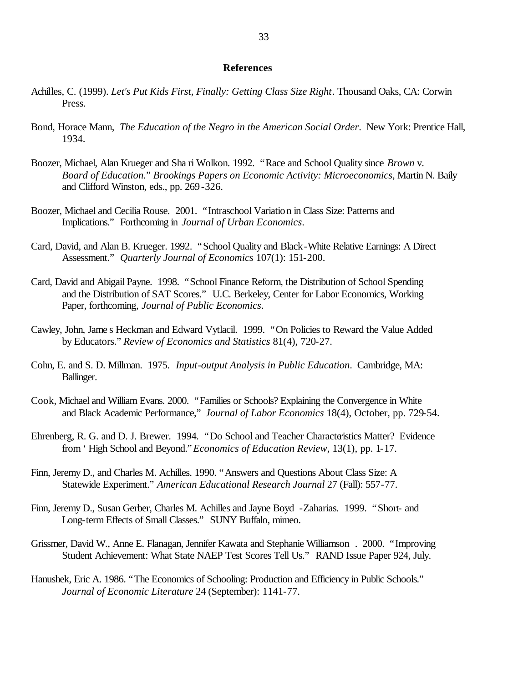#### **References**

- Achilles, C. (1999). *Let's Put Kids First, Finally: Getting Class Size Right*. Thousand Oaks, CA: Corwin Press.
- Bond, Horace Mann, *The Education of the Negro in the American Social Order*. New York: Prentice Hall, 1934.
- Boozer, Michael, Alan Krueger and Sha ri Wolkon. 1992. "Race and School Quality since *Brown* v. *Board of Education.*" *Brookings Papers on Economic Activity: Microeconomics*, Martin N. Baily and Clifford Winston, eds., pp. 269-326.
- Boozer, Michael and Cecilia Rouse. 2001. "Intraschool Variation in Class Size: Patterns and Implications." Forthcoming in *Journal of Urban Economics*.
- Card, David, and Alan B. Krueger. 1992. "School Quality and Black-White Relative Earnings: A Direct Assessment." *Quarterly Journal of Economics* 107(1): 151-200.
- Card, David and Abigail Payne. 1998. "School Finance Reform, the Distribution of School Spending and the Distribution of SAT Scores." U.C. Berkeley, Center for Labor Economics, Working Paper, forthcoming, *Journal of Public Economics*.
- Cawley, John, Jame s Heckman and Edward Vytlacil. 1999. "On Policies to Reward the Value Added by Educators." *Review of Economics and Statistics* 81(4), 720-27.
- Cohn, E. and S. D. Millman. 1975. *Input-output Analysis in Public Education*. Cambridge, MA: Ballinger.
- Cook, Michael and William Evans. 2000. "Families or Schools? Explaining the Convergence in White and Black Academic Performance," *Journal of Labor Economics* 18(4), October, pp. 729-54.
- Ehrenberg, R. G. and D. J. Brewer. 1994. "Do School and Teacher Characteristics Matter? Evidence from 'High School and Beyond." *Economics of Education Review*, 13(1), pp. 1-17.
- Finn, Jeremy D., and Charles M. Achilles. 1990. "Answers and Questions About Class Size: A Statewide Experiment." *American Educational Research Journal* 27 (Fall): 557-77.
- Finn, Jeremy D., Susan Gerber, Charles M. Achilles and Jayne Boyd -Zaharias. 1999. "Short- and Long-term Effects of Small Classes." SUNY Buffalo, mimeo.
- Grissmer, David W., Anne E. Flanagan, Jennifer Kawata and Stephanie Williamson . 2000. "Improving Student Achievement: What State NAEP Test Scores Tell Us." RAND Issue Paper 924, July.
- Hanushek, Eric A. 1986. "The Economics of Schooling: Production and Efficiency in Public Schools." *Journal of Economic Literature* 24 (September): 1141-77.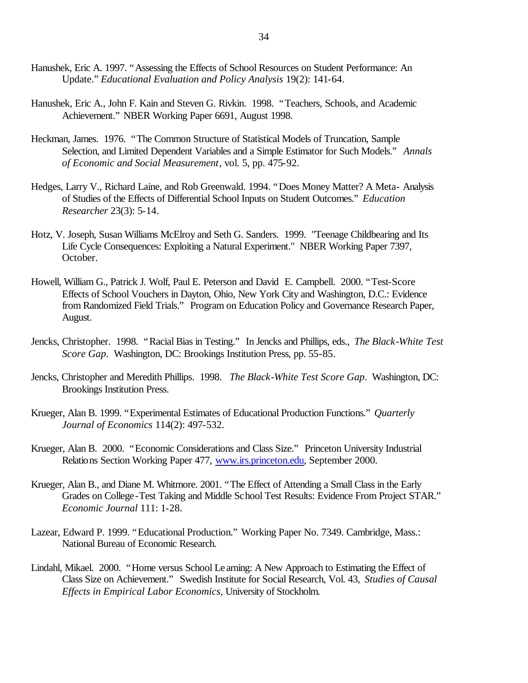- Hanushek, Eric A. 1997. "Assessing the Effects of School Resources on Student Performance: An Update." *Educational Evaluation and Policy Analysis* 19(2): 141-64.
- Hanushek, Eric A., John F. Kain and Steven G. Rivkin. 1998. "Teachers, Schools, and Academic Achievement." NBER Working Paper 6691, August 1998.
- Heckman, James. 1976. "The Common Structure of Statistical Models of Truncation, Sample Selection, and Limited Dependent Variables and a Simple Estimator for Such Models." *Annals of Economic and Social Measurement*, vol. 5, pp. 475-92.
- Hedges, Larry V., Richard Laine, and Rob Greenwald. 1994. "Does Money Matter? A Meta- Analysis of Studies of the Effects of Differential School Inputs on Student Outcomes." *Education Researcher* 23(3): 5-14.
- Hotz, V. Joseph, Susan Williams McElroy and Seth G. Sanders. 1999. "Teenage Childbearing and Its Life Cycle Consequences: Exploiting a Natural Experiment." NBER Working Paper 7397, October.
- Howell, William G., Patrick J. Wolf, Paul E. Peterson and David E. Campbell. 2000. "Test-Score Effects of School Vouchers in Dayton, Ohio, New York City and Washington, D.C.: Evidence from Randomized Field Trials." Program on Education Policy and Governance Research Paper, August.
- Jencks, Christopher. 1998. "Racial Bias in Testing." In Jencks and Phillips, eds., *The Black-White Test Score Gap*. Washington, DC: Brookings Institution Press, pp. 55-85.
- Jencks, Christopher and Meredith Phillips. 1998. *The Black-White Test Score Gap*. Washington, DC: Brookings Institution Press.
- Krueger, Alan B. 1999. "Experimental Estimates of Educational Production Functions." *Quarterly Journal of Economics* 114(2): 497-532.
- Krueger, Alan B. 2000. "Economic Considerations and Class Size." Princeton University Industrial Relations Section Working Paper 477, www.irs.princeton.edu, September 2000.
- Krueger, Alan B., and Diane M. Whitmore. 2001. "The Effect of Attending a Small Class in the Early Grades on College-Test Taking and Middle School Test Results: Evidence From Project STAR." *Economic Journal* 111: 1-28.
- Lazear, Edward P. 1999. "Educational Production." Working Paper No. 7349. Cambridge, Mass.: National Bureau of Economic Research.
- Lindahl, Mikael. 2000. "Home versus School Le arning: A New Approach to Estimating the Effect of Class Size on Achievement." Swedish Institute for Social Research, Vol. 43, *Studies of Causal Effects in Empirical Labor Economics*, University of Stockholm.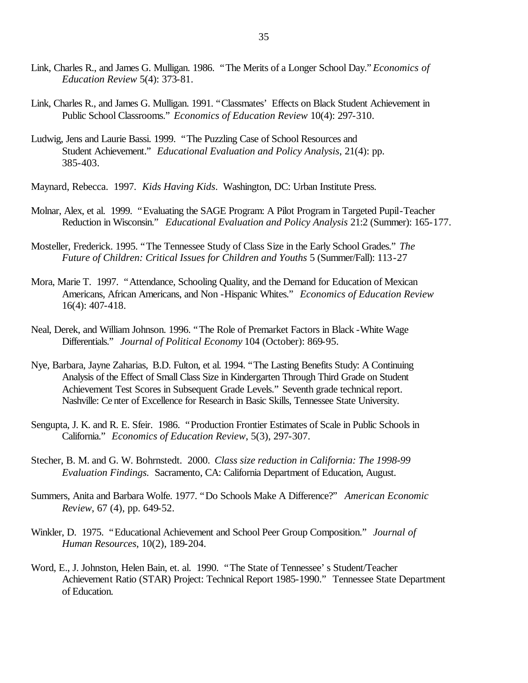- Link, Charles R., and James G. Mulligan. 1986. "The Merits of a Longer School Day." *Economics of Education Review* 5(4): 373-81.
- Link, Charles R., and James G. Mulligan. 1991. "Classmates' Effects on Black Student Achievement in Public School Classrooms." *Economics of Education Review* 10(4): 297-310.
- Ludwig, Jens and Laurie Bassi. 1999. "The Puzzling Case of School Resources and Student Achievement." *Educational Evaluation and Policy Analysis*, 21(4): pp. 385-403.

Maynard, Rebecca. 1997. *Kids Having Kids*. Washington, DC: Urban Institute Press.

- Molnar, Alex, et al. 1999. "Evaluating the SAGE Program: A Pilot Program in Targeted Pupil-Teacher Reduction in Wisconsin." *Educational Evaluation and Policy Analysis* 21:2 (Summer): 165-177.
- Mosteller, Frederick. 1995. "The Tennessee Study of Class Size in the Early School Grades." *The Future of Children: Critical Issues for Children and Youths* 5 (Summer/Fall): 113-27
- Mora, Marie T. 1997. "Attendance, Schooling Quality, and the Demand for Education of Mexican Americans, African Americans, and Non -Hispanic Whites." *Economics of Education Review* 16(4): 407-418.
- Neal, Derek, and William Johnson. 1996. "The Role of Premarket Factors in Black -White Wage Differentials." *Journal of Political Economy* 104 (October): 869-95.
- Nye, Barbara, Jayne Zaharias, B.D. Fulton, et al. 1994. "The Lasting Benefits Study: A Continuing Analysis of the Effect of Small Class Size in Kindergarten Through Third Grade on Student Achievement Test Scores in Subsequent Grade Levels." Seventh grade technical report. Nashville: Ce nter of Excellence for Research in Basic Skills, Tennessee State University.
- Sengupta, J. K. and R. E. Sfeir. 1986. "Production Frontier Estimates of Scale in Public Schools in California." *Economics of Education Review*, 5(3), 297-307.
- Stecher, B. M. and G. W. Bohrnstedt. 2000. *Class size reduction in California: The 1998-99 Evaluation Findings.* Sacramento, CA: California Department of Education, August.
- Summers, Anita and Barbara Wolfe. 1977. "Do Schools Make A Difference?" *American Economic Review*, 67 (4), pp. 649-52.
- Winkler, D. 1975. "Educational Achievement and School Peer Group Composition." *Journal of Human Resources*, 10(2), 189-204.
- Word, E., J. Johnston, Helen Bain, et. al. 1990. "The State of Tennessee's Student/Teacher Achievement Ratio (STAR) Project: Technical Report 1985-1990." Tennessee State Department of Education.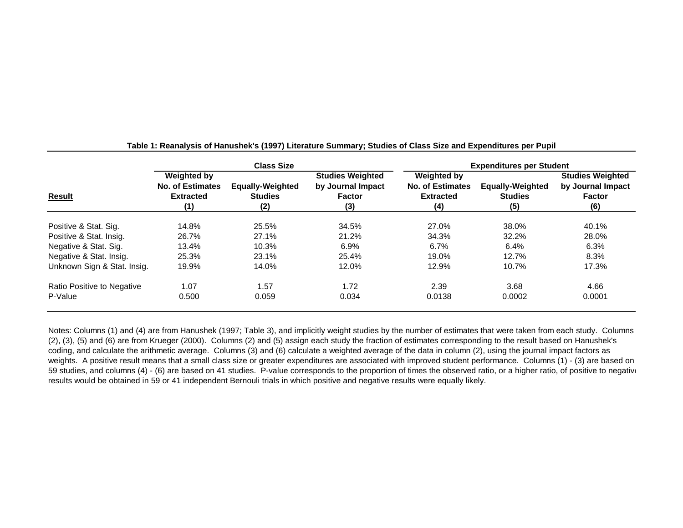|                             |                                                                   | <b>Class Size</b>                                |                                                                      | <b>Expenditures per Student</b>                                   |                                                  |                                                                      |  |
|-----------------------------|-------------------------------------------------------------------|--------------------------------------------------|----------------------------------------------------------------------|-------------------------------------------------------------------|--------------------------------------------------|----------------------------------------------------------------------|--|
| Result                      | Weighted by<br><b>No. of Estimates</b><br><b>Extracted</b><br>(1) | <b>Equally-Weighted</b><br><b>Studies</b><br>(2) | <b>Studies Weighted</b><br>by Journal Impact<br><b>Factor</b><br>(3) | Weighted by<br><b>No. of Estimates</b><br><b>Extracted</b><br>(4) | <b>Equally-Weighted</b><br><b>Studies</b><br>(5) | <b>Studies Weighted</b><br>by Journal Impact<br><b>Factor</b><br>(6) |  |
| Positive & Stat. Sig.       | 14.8%                                                             | 25.5%                                            | 34.5%                                                                | 27.0%                                                             | 38.0%                                            | 40.1%                                                                |  |
| Positive & Stat. Insig.     | 26.7%                                                             | 27.1%                                            | 21.2%                                                                | 34.3%                                                             | 32.2%                                            | 28.0%                                                                |  |
| Negative & Stat. Sig.       | 13.4%                                                             | 10.3%                                            | 6.9%                                                                 | 6.7%                                                              | 6.4%                                             | 6.3%                                                                 |  |
| Negative & Stat. Insig.     | 25.3%                                                             | 23.1%                                            | 25.4%                                                                | 19.0%                                                             | 12.7%                                            | 8.3%                                                                 |  |
| Unknown Sign & Stat. Insig. | 19.9%                                                             | 14.0%                                            | 12.0%                                                                | 12.9%                                                             | 10.7%                                            | 17.3%                                                                |  |
| Ratio Positive to Negative  | 1.07                                                              | 1.57                                             | 1.72                                                                 | 2.39                                                              | 3.68                                             | 4.66                                                                 |  |
| P-Value                     | 0.500                                                             | 0.059                                            | 0.034                                                                | 0.0138                                                            | 0.0002                                           | 0.0001                                                               |  |

**Table 1: Reanalysis of Hanushek's (1997) Literature Summary; Studies of Class Size and Expenditures per Pupil**

Notes: Columns (1) and (4) are from Hanushek (1997; Table 3), and implicitly weight studies by the number of estimates that were taken from each study. Columns (2), (3), (5) and (6) are from Krueger (2000). Columns (2) and (5) assign each study the fraction of estimates corresponding to the result based on Hanushek's coding, and calculate the arithmetic average. Columns (3) and (6) calculate a weighted average of the data in column (2), using the journal impact factors as weights. A positive result means that a small class size or greater expenditures are associated with improved student performance. Columns (1) - (3) are based on 59 studies, and columns (4) - (6) are based on 41 studies. P-value corresponds to the proportion of times the observed ratio, or a higher ratio, of positive to negative results would be obtained in 59 or 41 independent Bernouli trials in which positive and negative results were equally likely.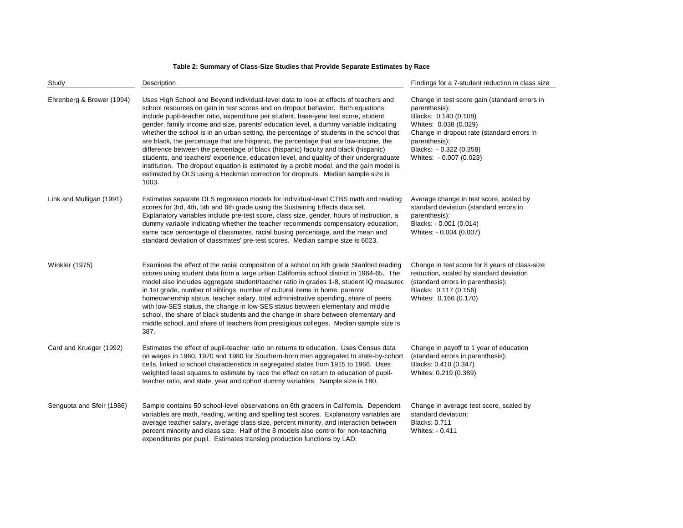#### **Table 2: Summary of Class-Size Studies that Provide Separate Estimates by Race**

| Study                     | Description                                                                                                                                                                                                                                                                                                                                                                                                                                                                                                                                                                                                                                                                                                                                                                                                                                                                                                         | Findings for a 7-student reduction in class size<br>Change in test score gain (standard errors in<br>parenthesis):<br>Blacks: 0.140 (0.108)<br>Whites: 0.038 (0.029)<br>Change in dropout rate (standard errors in<br>parenthesis):<br>Blacks: - 0.322 (0.358)<br>Whites: - 0.007 (0.023) |  |  |
|---------------------------|---------------------------------------------------------------------------------------------------------------------------------------------------------------------------------------------------------------------------------------------------------------------------------------------------------------------------------------------------------------------------------------------------------------------------------------------------------------------------------------------------------------------------------------------------------------------------------------------------------------------------------------------------------------------------------------------------------------------------------------------------------------------------------------------------------------------------------------------------------------------------------------------------------------------|-------------------------------------------------------------------------------------------------------------------------------------------------------------------------------------------------------------------------------------------------------------------------------------------|--|--|
| Ehrenberg & Brewer (1994) | Uses High School and Beyond individual-level data to look at effects of teachers and<br>school resources on gain in test scores and on dropout behavior. Both equations<br>include pupil-teacher ratio, expenditure per student, base-year test score, student<br>gender, family income and size, parents' education level, a dummy variable indicating<br>whether the school is in an urban setting, the percentage of students in the school that<br>are black, the percentage that are hispanic, the percentage that are low-income, the<br>difference between the percentage of black (hispanic) faculty and black (hispanic)<br>students, and teachers' experience, education level, and quality of their undergraduate<br>institution. The dropout equation is estimated by a probit model, and the gain model is<br>estimated by OLS using a Heckman correction for dropouts. Median sample size is<br>1003. |                                                                                                                                                                                                                                                                                           |  |  |
| Link and Mulligan (1991)  | Estimates separate OLS regression models for individual-level CTBS math and reading<br>scores for 3rd, 4th, 5th and 6th grade using the Sustaining Effects data set.<br>Explanatory variables include pre-test score, class size, gender, hours of instruction, a<br>dummy variable indicating whether the teacher recommends compensatory education,<br>same race percentage of classmates, racial busing percentage, and the mean and<br>standard deviation of classmates' pre-test scores. Median sample size is 6023.                                                                                                                                                                                                                                                                                                                                                                                           | Average change in test score, scaled by<br>standard deviation (standard errors in<br>parenthesis):<br>Blacks: - 0.001 (0.014)<br>Whites: - 0.004 (0.007)                                                                                                                                  |  |  |
| <b>Winkler (1975)</b>     | Examines the effect of the racial composition of a school on 8th grade Stanford reading<br>scores using student data from a large urban California school district in 1964-65. The<br>model also includes aggregate student/teacher ratio in grades 1-8, student IQ measured<br>in 1st grade, number of siblings, number of cultural items in home, parents'<br>homeownership status, teacher salary, total administrative spending, share of peers<br>with low-SES status, the change in low-SES status between elementary and middle<br>school, the share of black students and the change in share between elementary and<br>middle school, and share of teachers from prestigious colleges. Median sample size is<br>387.                                                                                                                                                                                       | Change in test score for 8 years of class-size<br>reduction, scaled by standard deviation<br>(standard errors in parenthesis):<br>Blacks: 0.117 (0.156)<br>Whites: 0.166 (0.170)                                                                                                          |  |  |
| Card and Krueger (1992)   | Estimates the effect of pupil-teacher ratio on returns to education. Uses Census data<br>on wages in 1960, 1970 and 1980 for Southern-born men aggregated to state-by-cohort<br>cells, linked to school characteristics in segregated states from 1915 to 1966. Uses<br>weighted least squares to estimate by race the effect on return to education of pupil-<br>teacher ratio, and state, year and cohort dummy variables. Sample size is 180.                                                                                                                                                                                                                                                                                                                                                                                                                                                                    | Change in payoff to 1 year of education<br>(standard errors in parenthesis):<br>Blacks: 0.410 (0.347)<br>Whites: 0.219 (0.389)                                                                                                                                                            |  |  |
| Sengupta and Sfeir (1986) | Sample contains 50 school-level observations on 6th graders in California. Dependent<br>variables are math, reading, writing and spelling test scores. Explanatory variables are<br>average teacher salary, average class size, percent minority, and interaction between<br>percent minority and class size. Half of the 8 models also control for non-teaching<br>expenditures per pupil. Estimates translog production functions by LAD.                                                                                                                                                                                                                                                                                                                                                                                                                                                                         | Change in average test score, scaled by<br>standard deviation:<br><b>Blacks: 0.711</b><br>Whites: - 0.411                                                                                                                                                                                 |  |  |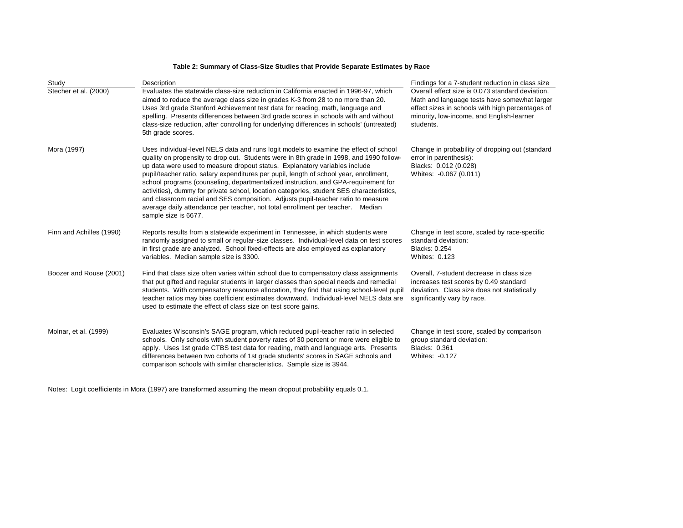#### **Table 2: Summary of Class-Size Studies that Provide Separate Estimates by Race**

| Study                    | Description                                                                                                                                                                                                                                                                                                                                                                                                                                                                                                                                                                                                                                                                                                                              | Findings for a 7-student reduction in class size                                                                                                                                                               |
|--------------------------|------------------------------------------------------------------------------------------------------------------------------------------------------------------------------------------------------------------------------------------------------------------------------------------------------------------------------------------------------------------------------------------------------------------------------------------------------------------------------------------------------------------------------------------------------------------------------------------------------------------------------------------------------------------------------------------------------------------------------------------|----------------------------------------------------------------------------------------------------------------------------------------------------------------------------------------------------------------|
| Stecher et al. (2000)    | Evaluates the statewide class-size reduction in California enacted in 1996-97, which<br>aimed to reduce the average class size in grades K-3 from 28 to no more than 20.<br>Uses 3rd grade Stanford Achievement test data for reading, math, language and<br>spelling. Presents differences between 3rd grade scores in schools with and without<br>class-size reduction, after controlling for underlying differences in schools' (untreated)<br>5th grade scores.                                                                                                                                                                                                                                                                      | Overall effect size is 0.073 standard deviation.<br>Math and language tests have somewhat larger<br>effect sizes in schools with high percentages of<br>minority, low-income, and English-learner<br>students. |
| Mora (1997)              | Uses individual-level NELS data and runs logit models to examine the effect of school<br>quality on propensity to drop out. Students were in 8th grade in 1998, and 1990 follow-<br>up data were used to measure dropout status. Explanatory variables include<br>pupil/teacher ratio, salary expenditures per pupil, length of school year, enrollment,<br>school programs (counseling, departmentalized instruction, and GPA-requirement for<br>activities), dummy for private school, location categories, student SES characteristics,<br>and classroom racial and SES composition. Adjusts pupil-teacher ratio to measure<br>average daily attendance per teacher, not total enrollment per teacher. Median<br>sample size is 6677. | Change in probability of dropping out (standard<br>error in parenthesis):<br>Blacks: 0.012 (0.028)<br>Whites: -0.067 (0.011)                                                                                   |
| Finn and Achilles (1990) | Reports results from a statewide experiment in Tennessee, in which students were<br>randomly assigned to small or regular-size classes. Individual-level data on test scores<br>in first grade are analyzed. School fixed-effects are also employed as explanatory<br>variables. Median sample size is 3300.                                                                                                                                                                                                                                                                                                                                                                                                                             | Change in test score, scaled by race-specific<br>standard deviation:<br>Blacks: 0.254<br>Whites: 0.123                                                                                                         |
| Boozer and Rouse (2001)  | Find that class size often varies within school due to compensatory class assignments<br>that put gifted and regular students in larger classes than special needs and remedial<br>students. With compensatory resource allocation, they find that using school-level pupil<br>teacher ratios may bias coefficient estimates downward. Individual-level NELS data are<br>used to estimate the effect of class size on test score gains.                                                                                                                                                                                                                                                                                                  | Overall, 7-student decrease in class size<br>increases test scores by 0.49 standard<br>deviation. Class size does not statistically<br>significantly vary by race.                                             |
| Molnar, et al. (1999)    | Evaluates Wisconsin's SAGE program, which reduced pupil-teacher ratio in selected<br>schools. Only schools with student poverty rates of 30 percent or more were eligible to<br>apply. Uses 1st grade CTBS test data for reading, math and language arts. Presents<br>differences between two cohorts of 1st grade students' scores in SAGE schools and<br>comparison schools with similar characteristics. Sample size is 3944.                                                                                                                                                                                                                                                                                                         | Change in test score, scaled by comparison<br>group standard deviation:<br>Blacks: 0.361<br>Whites: -0.127                                                                                                     |

Notes: Logit coefficients in Mora (1997) are transformed assuming the mean dropout probability equals 0.1.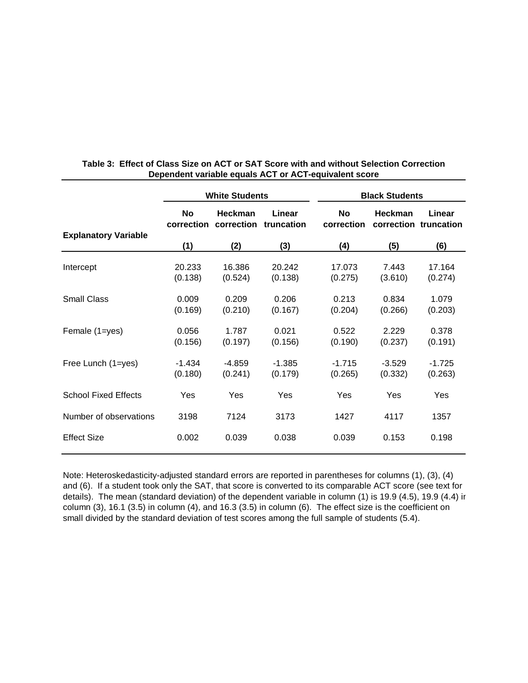|                             | <b>White Students</b> |                                  |                      | <b>Black Students</b> |                     |                                 |  |
|-----------------------------|-----------------------|----------------------------------|----------------------|-----------------------|---------------------|---------------------------------|--|
|                             | <b>No</b>             | Heckman<br>correction correction | Linear<br>truncation | No<br>correction      | <b>Heckman</b>      | Linear<br>correction truncation |  |
| <b>Explanatory Variable</b> | (1)                   | (2)                              | (3)                  | (4)                   | (5)                 | (6)                             |  |
| Intercept                   | 20.233<br>(0.138)     | 16.386<br>(0.524)                | 20.242<br>(0.138)    | 17.073<br>(0.275)     | 7.443<br>(3.610)    | 17.164<br>(0.274)               |  |
| <b>Small Class</b>          | 0.009<br>(0.169)      | 0.209<br>(0.210)                 | 0.206<br>(0.167)     | 0.213<br>(0.204)      | 0.834<br>(0.266)    | 1.079<br>(0.203)                |  |
| Female (1=yes)              | 0.056<br>(0.156)      | 1.787<br>(0.197)                 | 0.021<br>(0.156)     | 0.522<br>(0.190)      | 2.229<br>(0.237)    | 0.378<br>(0.191)                |  |
| Free Lunch (1=yes)          | $-1.434$<br>(0.180)   | $-4.859$<br>(0.241)              | $-1.385$<br>(0.179)  | $-1.715$<br>(0.265)   | $-3.529$<br>(0.332) | $-1.725$<br>(0.263)             |  |
| <b>School Fixed Effects</b> | Yes                   | Yes                              | Yes                  | Yes                   | Yes                 | Yes                             |  |
| Number of observations      | 3198                  | 7124                             | 3173                 | 1427                  | 4117                | 1357                            |  |
| <b>Effect Size</b>          | 0.002                 | 0.039                            | 0.038                | 0.039                 | 0.153               | 0.198                           |  |

# **Table 3: Effect of Class Size on ACT or SAT Score with and without Selection Correction Dependent variable equals ACT or ACT-equivalent score**

Note: Heteroskedasticity-adjusted standard errors are reported in parentheses for columns (1), (3), (4) and (6). If a student took only the SAT, that score is converted to its comparable ACT score (see text for details). The mean (standard deviation) of the dependent variable in column (1) is 19.9 (4.5), 19.9 (4.4) ir column (3), 16.1 (3.5) in column (4), and 16.3 (3.5) in column (6). The effect size is the coefficient on small divided by the standard deviation of test scores among the full sample of students (5.4).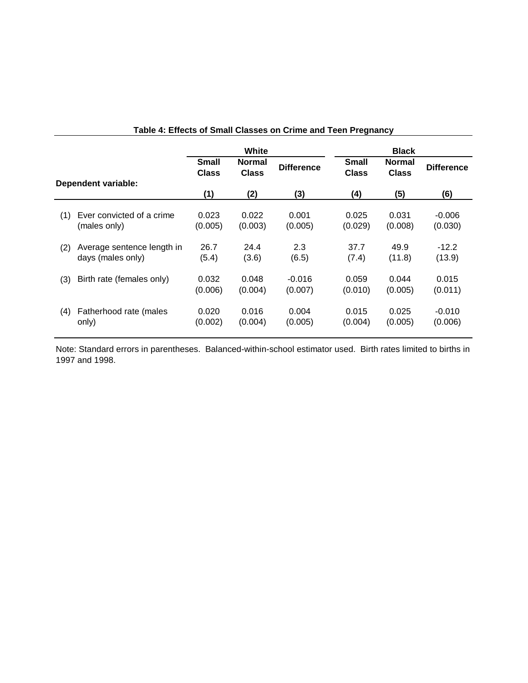|     |                                                 | White                 |                               |                     | <b>Black</b>                 |                               |                     |
|-----|-------------------------------------------------|-----------------------|-------------------------------|---------------------|------------------------------|-------------------------------|---------------------|
|     |                                                 | <b>Small</b><br>Class | <b>Normal</b><br><b>Class</b> | <b>Difference</b>   | <b>Small</b><br><b>Class</b> | <b>Normal</b><br><b>Class</b> | <b>Difference</b>   |
|     | <b>Dependent variable:</b>                      | (1)                   | (2)                           | (3)                 | (4)                          | (5)                           | (6)                 |
| (1) | Ever convicted of a crime<br>(males only)       | 0.023<br>(0.005)      | 0.022<br>(0.003)              | 0.001<br>(0.005)    | 0.025<br>(0.029)             | 0.031<br>(0.008)              | $-0.006$<br>(0.030) |
| (2) | Average sentence length in<br>days (males only) | 26.7<br>(5.4)         | 24.4<br>(3.6)                 | 2.3<br>(6.5)        | 37.7<br>(7.4)                | 49.9<br>(11.8)                | $-12.2$<br>(13.9)   |
| (3) | Birth rate (females only)                       | 0.032<br>(0.006)      | 0.048<br>(0.004)              | $-0.016$<br>(0.007) | 0.059<br>(0.010)             | 0.044<br>(0.005)              | 0.015<br>(0.011)    |
| (4) | Fatherhood rate (males<br>only)                 | 0.020<br>(0.002)      | 0.016<br>(0.004)              | 0.004<br>(0.005)    | 0.015<br>(0.004)             | 0.025<br>(0.005)              | $-0.010$<br>(0.006) |

# **Table 4: Effects of Small Classes on Crime and Teen Pregnancy**

Note: Standard errors in parentheses. Balanced-within-school estimator used. Birth rates limited to births in 1997 and 1998.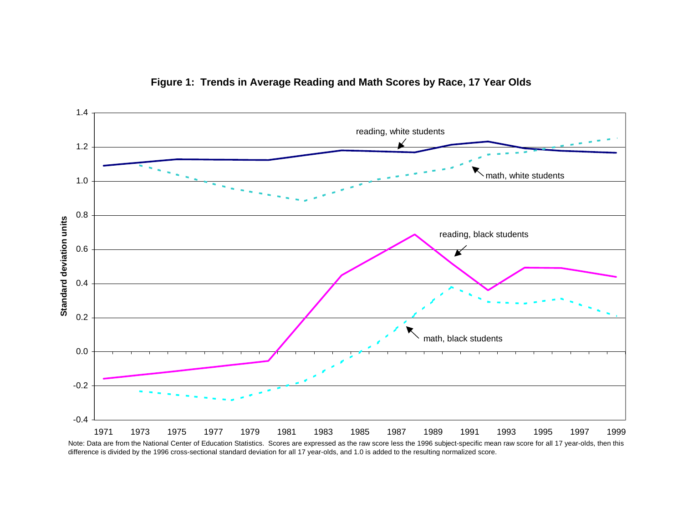

**Figure 1: Trends in Average Reading and Math Scores by Race, 17 Year Olds**

Note: Data are from the National Center of Education Statistics. Scores are expressed as the raw score less the 1996 subject-specific mean raw score for all 17 year-olds, then this difference is divided by the 1996 cross-sectional standard deviation for all 17 year-olds, and 1.0 is added to the resulting normalized score.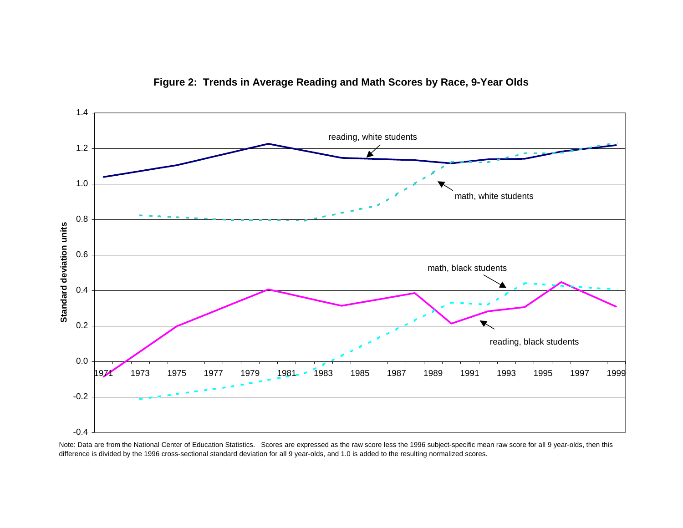

**Figure 2: Trends in Average Reading and Math Scores by Race, 9-Year Olds**

Note: Data are from the National Center of Education Statistics. Scores are expressed as the raw score less the 1996 subject-specific mean raw score for all 9 year-olds, then this difference is divided by the 1996 cross-sectional standard deviation for all 9 year-olds, and 1.0 is added to the resulting normalized scores.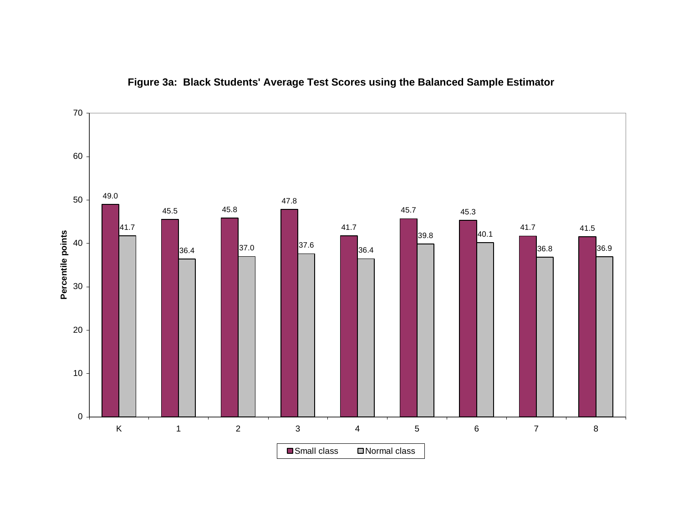

# **Figure 3a: Black Students' Average Test Scores using the Balanced Sample Estimator**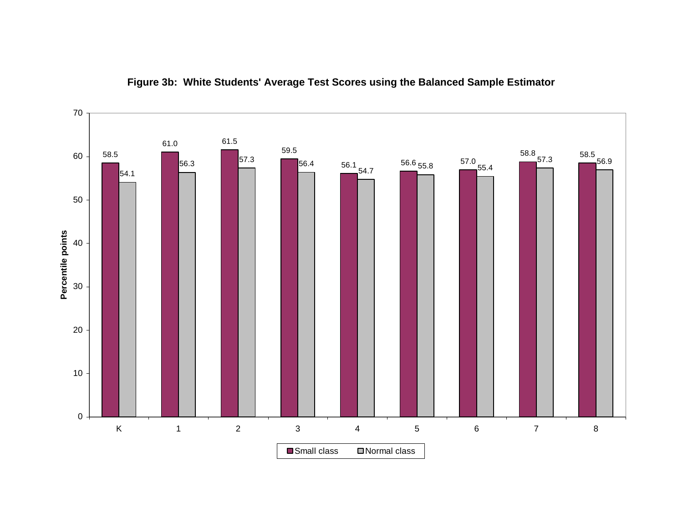

**Figure 3b: White Students' Average Test Scores using the Balanced Sample Estimator**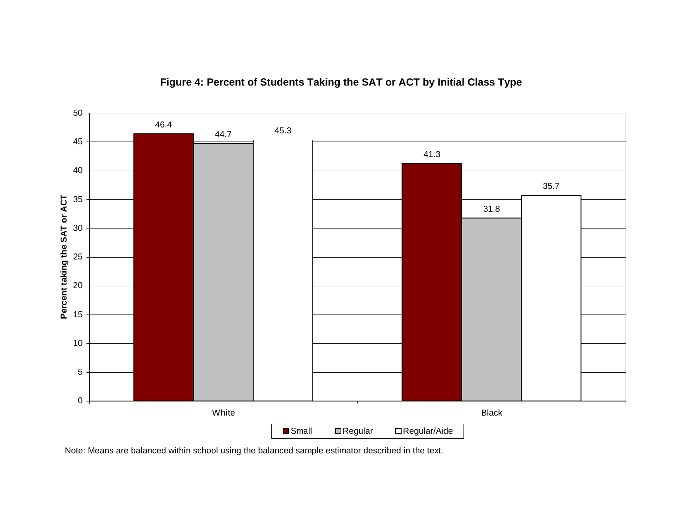

**Figure 4: Percent of Students Taking the SAT or ACT by Initial Class Type**

Note: Means are balanced within school using the balanced sample estimator described in the text.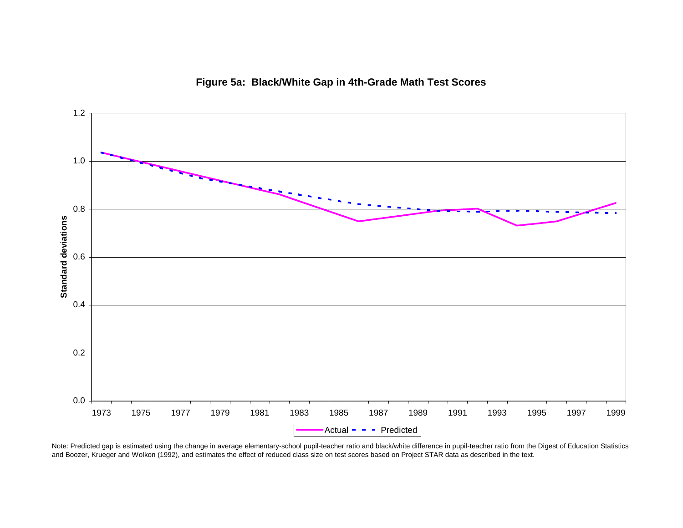



Note: Predicted gap is estimated using the change in average elementary-school pupil-teacher ratio and black/white difference in pupil-teacher ratio from the Digest of Education Statistics and Boozer, Krueger and Wolkon (1992), and estimates the effect of reduced class size on test scores based on Project STAR data as described in the text.